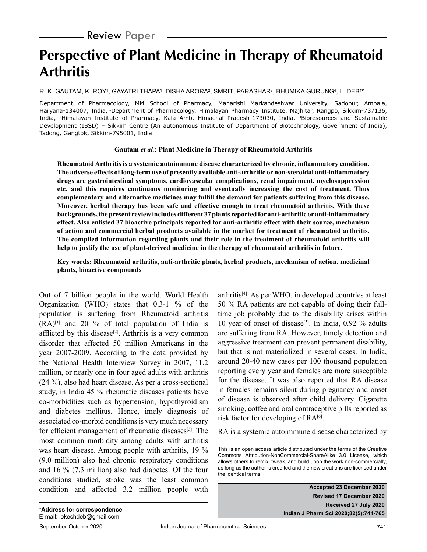# **Perspective of Plant Medicine in Therapy of Rheumatoid Arthritis**

R. K. GAUTAM, K. ROY', GAYATRI THAPA', DISHA ARORA', SMRITI PARASHAR<sup>3</sup>, BHUMIKA GURUNG<del>'</del>, L. DEB<del>'</del>\*

Department of Pharmacology, MM School of Pharmacy, Maharishi Markandeshwar University, Sadopur, Ambala, Haryana-134007, India, <sup>1</sup>Department of Pharmacology, Himalayan Pharmacy Institute, Majhitar, Rangpo, Sikkim-737136, India, 2Himalayan Institute of Pharmacy, Kala Amb, Himachal Pradesh-173030, India, 3Bioresources and Sustainable Development (IBSD) – Sikkim Centre (An autonomous Institute of Department of Biotechnology, Government of India), Tadong, Gangtok, Sikkim-795001, India

#### **Gautam** *et al.***: Plant Medicine in Therapy of Rheumatoid Arthritis**

**Rheumatoid Arthritis is a systemic autoimmune disease characterized by chronic, inflammatory condition. The adverse effects of long-term use of presently available anti-arthritic or non-steroidal anti-inflammatory drugs are gastrointestinal symptoms, cardiovascular complications, renal impairment, myelosuppression etc. and this requires continuous monitoring and eventually increasing the cost of treatment. Thus complementary and alternative medicines may fulfill the demand for patients suffering from this disease. Moreover, herbal therapy has been safe and effective enough to treat rheumatoid arthritis. With these backgrounds, the present review includes different 37 plants reported for anti-arthritic or anti-inflammatory effect. Also enlisted 37 bioactive principals reported for anti-arthritic effect with their source, mechanism of action and commercial herbal products available in the market for treatment of rheumatoid arthritis. The compiled information regarding plants and their role in the treatment of rheumatoid arthritis will help to justify the use of plant-derived medicine in the therapy of rheumatoid arthritis in future.**

**Key words: Rheumatoid arthritis, anti-arthritic plants, herbal products, mechanism of action, medicinal plants, bioactive compounds**

Out of 7 billion people in the world, World Health Organization (WHO) states that 0.3-1 % of the population is suffering from Rheumatoid arthritis  $(RA)^{[1]}$  and 20 % of total population of India is afflicted by this disease<sup>[2]</sup>. Arthritis is a very common disorder that affected 50 million Americans in the year 2007-2009. According to the data provided by the National Health Interview Survey in 2007, 11.2 million, or nearly one in four aged adults with arthritis (24 %), also had heart disease. As per a cross-sectional study, in India 45 % rheumatic diseases patients have co-morbidities such as hypertension, hypothyroidism and diabetes mellitus. Hence, imely diagnosis of associated co-morbid conditions is very much necessary for efficient management of rheumatic diseases<sup>[3]</sup>. The most common morbidity among adults with arthritis was heart disease. Among people with arthritis, 19 % (9.0 million) also had chronic respiratory conditions and 16 % (7.3 million) also had diabetes. Of the four conditions studied, stroke was the least common condition and affected 3.2 million people with arthritis[4]. As per WHO, in developed countries at least 50 % RA patients are not capable of doing their fulltime job probably due to the disability arises within 10 year of onset of disease<sup>[5]</sup>. In India,  $0.92\%$  adults are suffering from RA. However, timely detection and aggressive treatment can prevent permanent disability, but that is not materialized in several cases. In India, around 20-40 new cases per 100 thousand population reporting every year and females are more susceptible for the disease. It was also reported that RA disease in females remains silent during pregnancy and onset of disease is observed after child delivery. Cigarette smoking, coffee and oral contraceptive pills reported as risk factor for developing of  $RA^{[6]}$ .

RA is a systemic autoimmune disease characterized by

**Accepted 23 December 2020 Revised 17 December 2020 Received 27 July 2020 Indian J Pharm Sci 2020;82(5):741-765**

This is an open access article distributed under the terms of the Creative Commons Attribution-NonCommercial-ShareAlike 3.0 License, which allows others to remix, tweak, and build upon the work non-commercially, as long as the author is credited and the new creations are licensed under the identical terms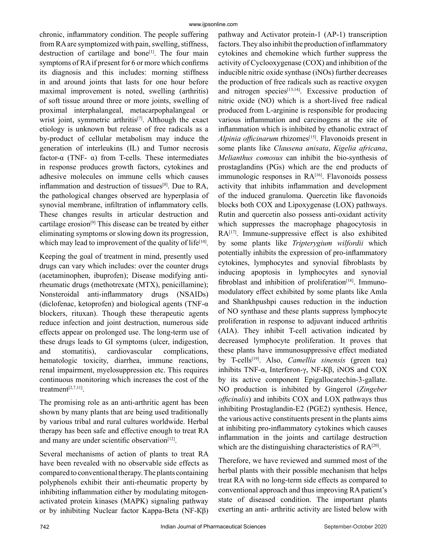chronic, inflammatory condition. The people suffering from RA are symptomized with pain, swelling, stiffness, destruction of cartilage and bone<sup>[1]</sup>. The four main symptoms of RA if present for 6 or more which confirms its diagnosis and this includes: morning stiffness in and around joints that lasts for one hour before maximal improvement is noted, swelling (arthritis) of soft tissue around three or more joints, swelling of proximal interphalangeal, metacarpophalangeal or wrist joint, symmetric arthritis<sup>[7]</sup>. Although the exact etiology is unknown but release of free radicals as a by-product of cellular metabolism may induce the generation of interleukins (IL) and Tumor necrosis factor-α (TNF- α) from T-cells. These intermediates in response produces growth factors, cytokines and adhesive molecules on immune cells which causes inflammation and destruction of tissues[8]. Due to RA, the pathological changes observed are hyperplasia of synovial membrane, infiltration of inflammatory cells. These changes results in articular destruction and cartilage erosion<sup>[9]</sup> This disease can be treated by either eliminating symptoms or slowing down its progression, which may lead to improvement of the quality of life<sup>[10]</sup>.

Keeping the goal of treatment in mind, presently used drugs can vary which includes: over the counter drugs (acetaminophen, ibuprofen); Disease modifying antirheumatic drugs (methotrexate (MTX), penicillamine); Nonsteroidal anti-inflammatory drugs (NSAIDs) (diclofenac, ketoprofen) and biological agents (TNF- $\alpha$ ) blockers, rituxan). Though these therapeutic agents reduce infection and joint destruction, numerous side effects appear on prolonged use. The long-term use of these drugs leads to GI symptoms (ulcer, indigestion, and stomatitis), cardiovascular complications, hematologic toxicity, diarrhea, immune reactions, renal impairment, myelosuppression etc. This requires continuous monitoring which increases the cost of the treatment[2,7,11].

The promising role as an anti-arthritic agent has been shown by many plants that are being used traditionally by various tribal and rural cultures worldwide. Herbal therapy has been safe and effective enough to treat RA and many are under scientific observation<sup>[12]</sup>.

Several mechanisms of action of plants to treat RA have been revealed with no observable side effects as compared to conventional therapy. The plants containing polyphenols exhibit their anti-rheumatic property by inhibiting inflammation either by modulating mitogenactivated protein kinases (MAPK) signaling pathway or by inhibiting Nuclear factor Kappa-Beta (NF-Кβ) pathway and Activator protein-1 (AP-1) transcription factors. They also inhibit the production of inflammatory cytokines and chemokine which further suppress the activity of Cyclooxygenase (COX) and inhibition of the inducible nitric oxide synthase (iNOs) further decreases the production of free radicals such as reactive oxygen and nitrogen species $[13,14]$ . Excessive production of nitric oxide (NO) which is a short-lived free radical produced from L-arginine is responsible for producing various inflammation and carcinogens at the site of inflammation which is inhibited by ethanolic extract of *Alpinia officinarum* rhizomes<sup>[15]</sup>. Flavonoids present in some plants like *Clausena anisata*, *Kigelia africana*, *Melianthus comosus* can inhibit the bio-synthesis of prostaglandins (PGs) which are the end products of immunologic responses in RA<sup>[16]</sup>. Flavonoids possess activity that inhibits inflammation and development of the induced granuloma. Quercetin like flavonoids blocks both COX and Lipoxygenase (LOX) pathways. Rutin and quercetin also possess anti-oxidant activity which suppresses the macrophage phagocytosis in RA<sup>[17]</sup>. Immune-suppressive effect is also exhibited by some plants like *Tripterygium wilfordii* which potentially inhibits the expression of pro-inflammatory cytokines, lymphocytes and synovial fibroblasts by inducing apoptosis in lymphocytes and synovial fibroblast and inhibition of proliferation $[18]$ . Immunomodulatory effect exhibited by some plants like Amla and Shankhpushpi causes reduction in the induction of NO synthase and these plants suppress lymphocyte proliferation in response to adjuvant induced arthritis (AIA). They inhibit T-cell activation indicated by decreased lymphocyte proliferation. It proves that these plants have immunosuppressive effect mediated by T-cells[19]. Also, *Camellia sinensis* (green tea) inhibits TNF-α, Interferon-γ, NF-Кβ, iNOS and COX by its active component Epigallocatechin-3-gallate. NO production is inhibited by Gingerol (*Zingeber officinalis*) and inhibits COX and LOX pathways thus inhibiting Prostaglandin-E2 (PGE2) synthesis. Hence, the various active constituents present in the plants aims at inhibiting pro-inflammatory cytokines which causes inflammation in the joints and cartilage destruction which are the distinguishing characteristics of  $RA^{[20]}$ .

Therefore, we have reviewed and summed most of the herbal plants with their possible mechanism that helps treat RA with no long-term side effects as compared to conventional approach and thus improving RA patient's state of diseased condition. The important plants exerting an anti- arthritic activity are listed below with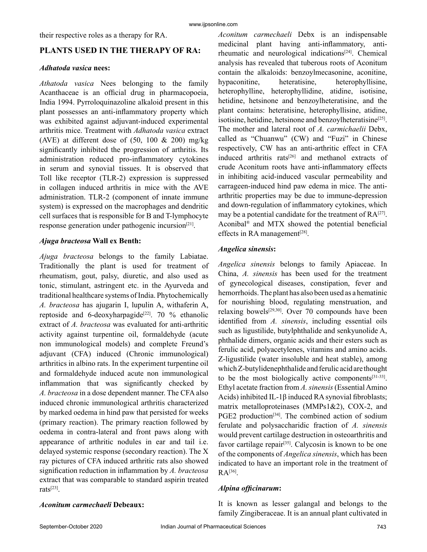their respective roles as a therapy for RA.

## **PLANTS USED IN THE THERAPY OF RA:**

#### *Adhatoda vasica* **nees:**

*Athatoda vasica* Nees belonging to the family Acanthaceae is an official drug in pharmacopoeia, India 1994. Pyrroloquinazoline alkaloid present in this plant possesses an anti-inflammatory property which was exhibited against adjuvant-induced experimental arthritis mice. Treatment with *Adhatoda vasica* extract (AVE) at different dose of  $(50, 100 \& 200)$  mg/kg significantly inhibited the progression of arthritis. Its administration reduced pro-inflammatory cytokines in serum and synovial tissues. It is observed that Toll like receptor (TLR-2) expression is suppressed in collagen induced arthritis in mice with the AVE administration. TLR-2 (component of innate immune system) is expressed on the macrophages and dendritic cell surfaces that is responsible for B and T-lymphocyte response generation under pathogenic incursion[21].

## *Ajuga bracteosa* **Wall ex Benth:**

*Ajuga bracteosa* belongs to the family Labiatae. Traditionally the plant is used for treatment of rheumatism, gout, palsy, diuretic, and also used as tonic, stimulant, astringent etc. in the Ayurveda and traditional healthcare systems of India. Phytochemically *A. bracteosa* has ajugarin I, lupulin A, withaferin A, reptoside and 6-deoxyharpagide<sup>[22]</sup>. 70 % ethanolic extract of *A. bracteosa* was evaluated for anti-arthritic activity against turpentine oil, formaldehyde (acute non immunological models) and complete Freund's adjuvant (CFA) induced (Chronic immunological) arthritics in albino rats. In the experiment turpentine oil and formaldehyde induced acute non immunological inflammation that was significantly checked by *A. bracteosa* in a dose dependent manner. The CFA also induced chronic immunological arthritis characterized by marked oedema in hind paw that persisted for weeks (primary reaction). The primary reaction followed by oedema in contra-lateral and front paws along with appearance of arthritic nodules in ear and tail i.e. delayed systemic response (secondary reaction). The X ray pictures of CFA induced arthritic rats also showed signification reduction in inflammation by *A. bracteosa* extract that was comparable to standard aspirin treated rats[23].

*Aconitum carmechaeli* Debx is an indispensable medicinal plant having anti-inflammatory, antirheumatic and neurological indications<sup>[24]</sup>. Chemical analysis has revealed that tuberous roots of Aconitum contain the alkaloids: benzoylmecasonine, aconitine, hypaconitine, heteratisine, heterophyllisine, heterophylline, heterophyllidine, atidine, isotisine, hetidine, hetsinone and benzoylheteratisine, and the plant contains: heteratisine, heterophyllisine, atidine, isotisine, hetidine, hetsinone and benzoylheteratisine<sup>[25]</sup>. The mother and lateral root of *A. carmichaelii* Debx, called as "Chuanwu" (CW) and "Fuzi" in Chinese respectively, CW has an anti-arthritic effect in CFA induced arthritis rats<sup>[26]</sup> and methanol extracts of crude Aconitum roots have anti-inflammatory effects in inhibiting acid-induced vascular permeability and carrageen-induced hind paw edema in mice. The antiarthritic properties may be due to immune-depression and down-regulation of inflammatory cytokines, which may be a potential candidate for the treatment of  $RA^{[27]}$ . Aconibal® and MTX showed the potential beneficial effects in RA management $[28]$ .

## *Angelica sinensis***:**

*Angelica sinensis* belongs to family Apiaceae. In China, *A. sinensis* has been used for the treatment of gynecological diseases, constipation, fever and hemorrhoids. The plant has also been used as a hematinic for nourishing blood, regulating menstruation, and relaxing bowels[29,30]. Over 70 compounds have been identified from *A. sinensis*, including essential oils such as ligustilide, butylphthalide and senkyunolide A, phthalide dimers, organic acids and their esters such as ferulic acid, polyacetylenes, vitamins and amino acids. Z-ligustilide (water insoluble and heat stable), among which Z-butylidenephthalide and ferulic acid are thought to be the most biologically active components[31-33]. Ethyl acetate fraction from *A. sinensis* (Essential Amino Acids) inhibited IL-1β induced RA synovial fibroblasts; matrix metalloproteinases (MMPs1&2), COX-2, and PGE2 production<sup>[34]</sup>. The combined action of sodium ferulate and polysaccharidic fraction of *A. sinensis* would prevent cartilage destruction in osteoarthritis and favor cartilage repair<sup>[35]</sup>. Calycosin is known to be one of the components of *Angelica sinensis*, which has been indicated to have an important role in the treatment of  $RA<sup>[36]</sup>$ .

## *Alpina officinarum***:**

It is known as lesser galangal and belongs to the family Zingiberaceae. It is an annual plant cultivated in

*Aconitum carmechaeli* **Debeaux:**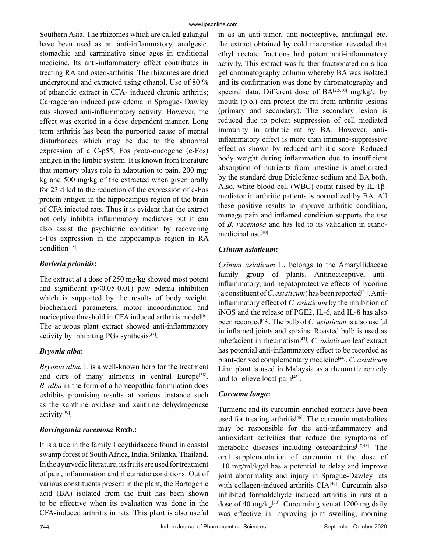Southern Asia. The rhizomes which are called galangal have been used as an anti-inflammatory, analgesic, stomachic and carminative since ages in traditional medicine. Its anti-inflammatory effect contributes in treating RA and osteo-arthritis. The rhizomes are dried underground and extracted using ethanol. Use of 80 % of ethanolic extract in CFA- induced chronic arthritis; Carrageenan induced paw edema in Sprague- Dawley rats showed anti-inflammatory activity. However, the effect was exerted in a dose dependent manner. Long term arthritis has been the purported cause of mental disturbances which may be due to the abnormal expression of a C-p55, Fos proto-oncogene (c-Fos) antigen in the limbic system. It is known from literature that memory plays role in adaptation to pain. 200 mg/ kg and 500 mg/kg of the extracted when given orally for 23 d led to the reduction of the expression of c-Fos protein antigen in the hippocampus region of the brain of CFA injected rats. Thus it is evident that the extract not only inhibits inflammatory mediators but it can also assist the psychiatric condition by recovering c-Fos expression in the hippocampus region in RA condition<sup>[15]</sup>.

## *Barleria prionitis***:**

The extract at a dose of 250 mg/kg showed most potent and significant  $(p \le 0.05 - 0.01)$  paw edema inhibition which is supported by the results of body weight, biochemical parameters, motor incoordination and nociceptive threshold in CFA induced arthritis model<sup>[6]</sup>. The aqueous plant extract showed anti-inflammatory activity by inhibiting PGs synthesis $[37]$ .

## *Bryonia alba***:**

*Bryonia alba.* L is a well-known herb for the treatment and cure of many ailments in central Europe<sup>[38]</sup>. *B. alba* in the form of a homeopathic formulation does exhibits promising results at various instance such as the xanthine oxidase and xanthine dehydrogenase activity[39].

## *Barringtonia racemosa* **Roxb.:**

It is a tree in the family Lecythidaceae found in coastal swamp forest of South Africa, India, Srilanka, Thailand. In the ayurvedic literature, its fruits are used for treatment of pain, inflammation and rheumatic conditions. Out of various constituents present in the plant, the Bartogenic acid (BA) isolated from the fruit has been shown to be effective when its evaluation was done in the CFA-induced arthritis in rats. This plant is also useful in as an anti-tumor, anti-nociceptive, antifungal etc. the extract obtained by cold maceration revealed that ethyl acetate fractions had potent anti-inflammatory activity. This extract was further fractionated on silica gel chromatography column whereby BA was isolated and its confirmation was done by chromatography and spectral data. Different dose of BA<sup>[2,5,10]</sup> mg/kg/d by mouth (p.o.) can protect the rat from arthritic lesions (primary and secondary). The secondary lesion is reduced due to potent suppression of cell mediated immunity in arthritic rat by BA. However, antiinflammatory effect is more than immune-suppressive effect as shown by reduced arthritic score. Reduced body weight during inflammation due to insufficient absorption of nutrients from intestine is ameliorated by the standard drug Diclofenac sodium and BA both. Also, white blood cell (WBC) count raised by IL-1βmediator in arthritic patients is normalized by BA. All these positive results to improve arthritic condition, manage pain and inflamed condition supports the use of *B. racemosa* and has led to its validation in ethnomedicinal use<sup>[40]</sup>.

## *Crinum asiaticum***:**

*Crinum asiaticum* L. belongs to the Amaryllidaceae family group of plants. Antinociceptive, antiinflammatory, and hepatoprotective effects of lycorine (a constituent of  $C$ . *asiaticum*) has been reported<sup>[41]</sup>. Antiinflammatory effect of *C. asiaticum* by the inhibition of iNOS and the release of PGE2, IL-6, and IL-8 has also been recorded[42]. The bulb of *C. asiaticum* is also useful in inflamed joints and sprains. Roasted bulb is used as rubefacient in rheumatism[43]. *C. asiaticum* leaf extract has potential anti-inflammatory effect to be recorded as plant-derived complementary medicine[44]. *C. asiaticum* Linn plant is used in Malaysia as a rheumatic remedy and to relieve local pain<sup>[45]</sup>.

## *Curcuma longa***:**

Turmeric and its curcumin-enriched extracts have been used for treating arthritis $[46]$ . The curcumin metabolites may be responsible for the anti-inflammatory and antioxidant activities that reduce the symptoms of metabolic diseases including osteoarthritis<sup>[47,48]</sup>. The oral supplementation of curcumin at the dose of 110 mg/ml/kg/d has a potential to delay and improve joint abnormality and injury in Sprague-Dawley rats with collagen-induced arthritis  $CIA<sup>[49]</sup>$ . Curcumin also inhibited formaldehyde induced arthritis in rats at a dose of 40 mg/kg<sup>[50]</sup>. Curcumin given at 1200 mg daily was effective in improving joint swelling, morning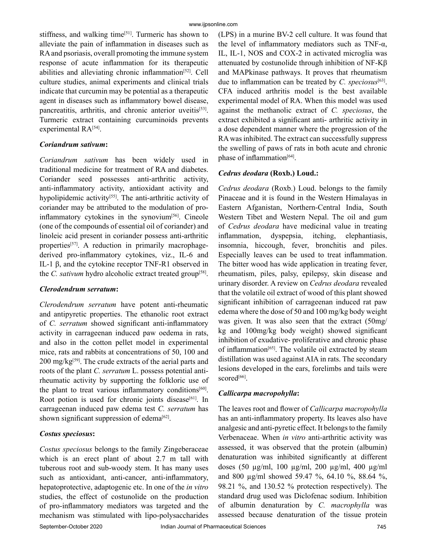stiffness, and walking time<sup>[51]</sup>. Turmeric has shown to alleviate the pain of inflammation in diseases such as RA and psoriasis, overall promoting the immune system response of acute inflammation for its therapeutic abilities and alleviating chronic inflammation<sup>[52]</sup>. Cell culture studies, animal experiments and clinical trials indicate that curcumin may be potential as a therapeutic agent in diseases such as inflammatory bowel disease, pancreatitis, arthritis, and chronic anterior uveitis<sup>[53]</sup>. Turmeric extract containing curcuminoids prevents experimental RA<sup>[54]</sup>.

#### *Coriandrum sativum***:**

*Coriandrum sativum* has been widely used in traditional medicine for treatment of RA and diabetes. Coriander seed possesses anti-arthritic activity, anti-inflammatory activity, antioxidant activity and hypolipidemic activity<sup>[55]</sup>. The anti-arthritic activity of coriander may be attributed to the modulation of proinflammatory cytokines in the synovium<sup>[56]</sup>. Cineole (one of the compounds of essential oil of coriander) and linoleic acid present in coriander possess anti-arthritic properties<sup>[57]</sup>. A reduction in primarily macrophagederived pro-inflammatory cytokines, viz., IL-6 and IL-1 β, and the cytokine receptor TNF-R1 observed in the *C. sativum* hydro alcoholic extract treated group<sup>[58]</sup>.

## *Clerodendrum serratum***:**

*Clerodendrum serratum* have potent anti-rheumatic and antipyretic properties. The ethanolic root extract of *C. serratum* showed significant anti-inflammatory activity in carrageenan induced paw oedema in rats, and also in the cotton pellet model in experimental mice, rats and rabbits at concentrations of 50, 100 and  $200 \text{ mg/kg}^{59}$ . The crude extracts of the aerial parts and roots of the plant *C. serratum* L. possess potential antirheumatic activity by supporting the folkloric use of the plant to treat various inflammatory conditions<sup>[60]</sup>. Root potion is used for chronic joints disease $[61]$ . In carrageenan induced paw edema test *C. serratum* has shown significant suppression of edema<sup>[62]</sup>.

## *Costus speciosus***:**

*Costus speciosus* belongs to the family Zingeberaceae which is an erect plant of about 2.7 m tall with tuberous root and sub-woody stem. It has many uses such as antioxidant, anti-cancer, anti-inflammatory, hepatoprotective, adaptogenic etc. In one of the *in vitro* studies, the effect of costunolide on the production of pro-inflammatory mediators was targeted and the mechanism was stimulated with lipo-polysaccharides (LPS) in a murine BV-2 cell culture. It was found that the level of inflammatory mediators such as TNF- $α$ , IL, IL-1, NOS and COX-2 in activated microglia was attenuated by costunolide through inhibition of NF-Kβ and MAPkinase pathways. It proves that rheumatism due to inflammation can be treated by *C. speciosus*[63]. CFA induced arthritis model is the best available experimental model of RA. When this model was used against the methanolic extract of *C. speciosus*, the extract exhibited a significant anti- arthritic activity in a dose dependent manner where the progression of the RA was inhibited. The extract can successfully suppress the swelling of paws of rats in both acute and chronic phase of inflammation<sup>[64]</sup>.

## *Cedrus deodara* **(Roxb.) Loud.:**

*Cedrus deodara* (Roxb.) Loud. belongs to the family Pinaceae and it is found in the Western Himalayas in Eastern Afganistan, Northern-Central India, South Western Tibet and Western Nepal. The oil and gum of *Cedrus deodara* have medicinal value in treating inflammation, dyspepsia, itching, elephantiasis, insomnia, hiccough, fever, bronchitis and piles. Especially leaves can be used to treat inflammation. The bitter wood has wide application in treating fever, rheumatism, piles, palsy, epilepsy, skin disease and urinary disorder. A review on *Cedrus deodara* revealed that the volatile oil extract of wood of this plant showed significant inhibition of carrageenan induced rat paw edema where the dose of 50 and 100 mg/kg body weight was given. It was also seen that the extract (50mg/ kg and 100mg/kg body weight) showed significant inhibition of exudative- proliferative and chronic phase of inflammation<sup>[65]</sup>. The volatile oil extracted by steam distillation was used against AIA in rats. The secondary lesions developed in the ears, forelimbs and tails were scored<sup>[66]</sup>.

## *Callicarpa macropohylla***:**

The leaves root and flower of *Callicarpa macropohylla* has an anti-inflammatory property. Its leaves also have analgesic and anti-pyretic effect. It belongs to the family Verbenaceae. When *in vitro* anti-arthritic activity was assessed, it was observed that the protein (albumin) denaturation was inhibited significantly at different doses (50 µg/ml, 100 µg/ml, 200 µg/ml, 400 µg/ml and 800 µg/ml showed 59.47 %, 64.10 %, 88.64 %, 98.21 %, and 130.52 % protection respectively). The standard drug used was Diclofenac sodium. Inhibition of albumin denaturation by *C. macrophylla* was assessed because denaturation of the tissue protein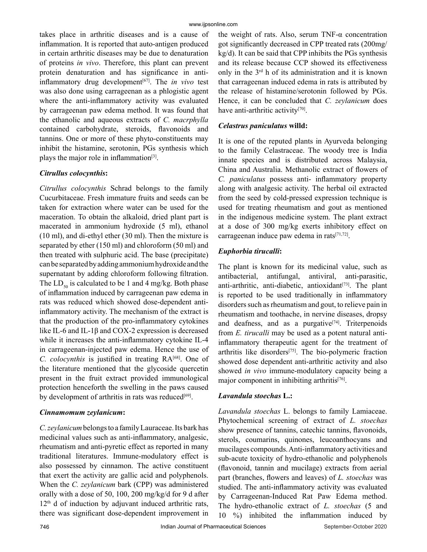takes place in arthritic diseases and is a cause of inflammation. It is reported that auto-antigen produced in certain arthritic diseases may be due to denaturation of proteins *in vivo*. Therefore, this plant can prevent protein denaturation and has significance in antiinflammatory drug development<sup>[67]</sup>. The *in vivo* test was also done using carrageenan as a phlogistic agent where the anti-inflammatory activity was evaluated by carrageenan paw edema method. It was found that the ethanolic and aqueous extracts of *C. macrphylla* contained carbohydrate, steroids, flavonoids and tannins. One or more of these phyto-constituents may inhibit the histamine, serotonin, PGs synthesis which plays the major role in inflammation $[3]$ .

## *Citrullus colocynthis***:**

*Citrullus colocynthis* Schrad belongs to the family Cucurbitaceae. Fresh immature fruits and seeds can be taken for extraction where water can be used for the maceration. To obtain the alkaloid, dried plant part is macerated in ammonium hydroxide (5 ml), ethanol (10 ml), and di-ethyl ether (30 ml). Then the mixture is separated by ether (150 ml) and chloroform (50 ml) and then treated with sulphuric acid. The base (precipitate) can be separated by adding ammonium hydroxide and the supernatant by adding chloroform following filtration. The  $LD_{50}$  is calculated to be 1 and 4 mg/kg. Both phase of inflammation induced by carrageenan paw edema in rats was reduced which showed dose-dependent antiinflammatory activity. The mechanism of the extract is that the production of the pro-inflammatory cytokines like IL-6 and IL-1β and COX-2 expression is decreased while it increases the anti-inflammatory cytokine IL-4 in carrageenan-injected paw edema. Hence the use of *C. colocynthis* is justified in treating RA<sup>[68]</sup>. One of the literature mentioned that the glycoside quercetin present in the fruit extract provided immunological protection henceforth the swelling in the paws caused by development of arthritis in rats was reduced $[69]$ .

## *Cinnamomum zeylanicum***:**

*C. zeylanicum* belongs to a family Lauraceae. Its bark has medicinal values such as anti-inflammatory, analgesic, rheumatism and anti-pyretic effect as reported in many traditional literatures. Immune-modulatory effect is also possessed by cinnamon. The active constituent that exert the activity are gallic acid and polyphenols. When the *C. zeylanicum* bark (CPP) was administered orally with a dose of 50, 100, 200 mg/kg/d for 9 d after  $12<sup>th</sup>$  d of induction by adjuvant induced arthritic rats, there was significant dose-dependent improvement in the weight of rats. Also, serum TNF-α concentration got significantly decreased in CPP treated rats (200mg/ kg/d). It can be said that CPP inhibits the PGs synthesis and its release because CCP showed its effectiveness only in the 3rd h of its administration and it is known that carrageenan induced edema in rats is attributed by the release of histamine/serotonin followed by PGs. Hence, it can be concluded that *C. zeylanicum* does have anti-arthritic activity<sup>[70]</sup>.

## *Celastrus paniculatus* **willd:**

It is one of the reputed plants in Ayurveda belonging to the family Celastraceae. The woody tree is India innate species and is distributed across Malaysia, China and Australia. Methanolic extract of flowers of *C. paniculatus* possess anti- inflammatory property along with analgesic activity. The herbal oil extracted from the seed by cold-pressed expression technique is used for treating rheumatism and gout as mentioned in the indigenous medicine system. The plant extract at a dose of 300 mg/kg exerts inhibitory effect on carrageenan induce paw edema in rats $[71,72]$ .

## *Euphorbia tirucalli***:**

The plant is known for its medicinal value, such as antibacterial, antifungal, antiviral, anti-parasitic, anti-arthritic, anti-diabetic, antioxidant $[73]$ . The plant is reported to be used traditionally in inflammatory disorders such as rheumatism and gout, to relieve pain in rheumatism and toothache, in nervine diseases, dropsy and deafness, and as a purgative $[74]$ . Triterpenoids from *E. tirucalli* may be used as a potent natural antiinflammatory therapeutic agent for the treatment of arthritis like disorders[75]. The bio-polymeric fraction showed dose dependent anti-arthritic activity and also showed *in vivo* immune-modulatory capacity being a major component in inhibiting arthritis<sup>[76]</sup>.

## *Lavandula stoechas* **L.:**

*Lavandula stoechas* L. belongs to family Lamiaceae. Phytochemical screening of extract of *L. stoechas* show presence of tannins, catechic tannins, flavonoids, sterols, coumarins, quinones, leucoanthocyans and mucilages compounds. Anti-inflammatory activities and sub-acute toxicity of hydro-ethanolic and polyphenols (flavonoid, tannin and mucilage) extracts from aerial part (branches, flowers and leaves) of *L. stoechas* was studied. The anti-inflammatory activity was evaluated by Carrageenan-Induced Rat Paw Edema method. The hydro-ethanolic extract of *L. stoechas* (5 and 10 %) inhibited the inflammation induced by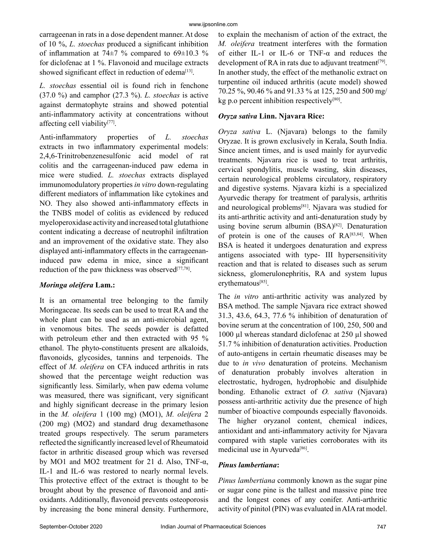carrageenan in rats in a dose dependent manner. At dose of 10 %, *L. stoechas* produced a significant inhibition of inflammation at 74 $\pm$ 7 % compared to 69 $\pm$ 10.3 % for diclofenac at 1 %. Flavonoid and mucilage extracts showed significant effect in reduction of edema<sup>[13]</sup>.

*L. stoechas* essential oil is found rich in fenchone (37.0 %) and camphor (27.3 %). *L. stoechas* is active against dermatophyte strains and showed potential anti-inflammatory activity at concentrations without affecting cell viability[77].

Anti-inflammatory properties of *L. stoechas* extracts in two inflammatory experimental models: 2,4,6-Trinitrobenzenesulfonic acid model of rat colitis and the carrageenan-induced paw edema in mice were studied. *L. stoechas* extracts displayed immunomodulatory properties *in vitro* down-regulating different mediators of inflammation like cytokines and NO. They also showed anti-inflammatory effects in the TNBS model of colitis as evidenced by reduced myeloperoxidase activity and increased total glutathione content indicating a decrease of neutrophil infiltration and an improvement of the oxidative state. They also displayed anti-inflammatory effects in the carrageenaninduced paw edema in mice, since a significant reduction of the paw thickness was observed $[77,78]$ .

## *Moringa oleifera* **Lam.:**

It is an ornamental tree belonging to the family Moringaceae. Its seeds can be used to treat RA and the whole plant can be used as an anti-microbial agent, in venomous bites. The seeds powder is defatted with petroleum ether and then extracted with 95 % ethanol. The phyto-constituents present are alkaloids, flavonoids, glycosides, tannins and terpenoids. The effect of *M. oleifera* on CFA induced arthritis in rats showed that the percentage weight reduction was significantly less. Similarly, when paw edema volume was measured, there was significant, very significant and highly significant decrease in the primary lesion in the *M. oleifera* 1 (100 mg) (MO1), *M. oleifera* 2 (200 mg) (MO2) and standard drug dexamethasone treated groups respectively. The serum parameters reflected the significantly increased level of Rheumatoid factor in arthritic diseased group which was reversed by MO1 and MO2 treatment for 21 d. Also, TNF-α, IL-1 and IL-6 was restored to nearly normal levels. This protective effect of the extract is thought to be brought about by the presence of flavonoid and antioxidants. Additionally, flavonoid prevents osteoporosis by increasing the bone mineral density. Furthermore,

to explain the mechanism of action of the extract, the *M. oleifera* treatment interferes with the formation of either IL-1 or IL-6 or TNF-α and reduces the development of RA in rats due to adjuvant treatment<sup>[79]</sup>. In another study, the effect of the methanolic extract on turpentine oil induced arthritis (acute model) showed 70.25 %, 90.46 % and 91.33 % at 125, 250 and 500 mg/  $kg$  p.o percent inhibition respectively<sup>[80]</sup>.

## *Oryza sativa* **Linn. Njavara Rice:**

*Oryza sativa* L. (Njavara) belongs to the family Oryzae. It is grown exclusively in Kerala, South India. Since ancient times, and is used mainly for ayurvedic treatments. Njavara rice is used to treat arthritis, cervical spondylitis, muscle wasting, skin diseases, certain neurological problems circulatory, respiratory and digestive systems. Njavara kizhi is a specialized Ayurvedic therapy for treatment of paralysis, arthritis and neurological problems[81]. Njavara was studied for its anti-arthritic activity and anti-denaturation study by using bovine serum albumin (BSA)<sup>[82]</sup>. Denaturation of protein is one of the causes of  $RA^{[83,84]}$ . When BSA is heated it undergoes denaturation and express antigens associated with type- III hypersensitivity reaction and that is related to diseases such as serum sickness, glomerulonephritis, RA and system lupus erythematous[85].

The *in vitro* anti-arthritic activity was analyzed by BSA method. The sample Njavara rice extract showed 31.3, 43.6, 64.3, 77.6 % inhibition of denaturation of bovine serum at the concentration of 100, 250, 500 and 1000 µl whereas standard diclofenac at 250 µl showed 51.7 % inhibition of denaturation activities. Production of auto-antigens in certain rheumatic diseases may be due to *in vivo* denaturation of proteins. Mechanism of denaturation probably involves alteration in electrostatic, hydrogen, hydrophobic and disulphide bonding. Ethanolic extract of *O. sativa* (Njavara) possess anti-arthritic activity due the presence of high number of bioactive compounds especially flavonoids. The higher oryzanol content, chemical indices, antioxidant and anti-inflammatory activity for Njavara compared with staple varieties corroborates with its medicinal use in Ayurveda<sup>[86]</sup>.

## *Pinus lambertiana***:**

*Pinus lambertiana* commonly known as the sugar pine or sugar cone pine is the tallest and massive pine tree and the longest cones of any conifer. Anti-arthritic activity of pinitol (PIN) was evaluated in AIA rat model.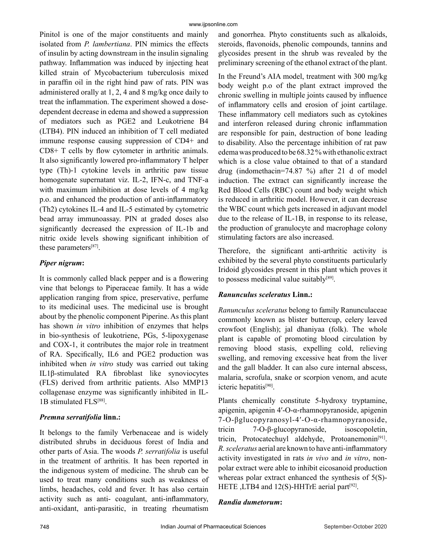Pinitol is one of the major constituents and mainly isolated from *P. lambertiana*. PIN mimics the effects of insulin by acting downstream in the insulin signaling pathway. Inflammation was induced by injecting heat killed strain of Mycobacterium tuberculosis mixed in paraffin oil in the right hind paw of rats. PIN was administered orally at 1, 2, 4 and 8 mg/kg once daily to treat the inflammation. The experiment showed a dosedependent decrease in edema and showed a suppression of mediators such as PGE2 and Leukotriene B4 (LTB4). PIN induced an inhibition of T cell mediated immune response causing suppression of CD4+ and CD8+ T cells by flow cytometer in arthritic animals. It also significantly lowered pro-inflammatory T helper type (Th)-1 cytokine levels in arthritic paw tissue homogenate supernatant viz. IL-2, IFN-c, and TNF-a with maximum inhibition at dose levels of 4 mg/kg p.o. and enhanced the production of anti-inflammatory (Th2) cytokines IL-4 and IL-5 estimated by cytometric bead array immunoassay. PIN at graded doses also significantly decreased the expression of IL-1b and nitric oxide levels showing significant inhibition of these parameters[87].

## *Piper nigrum***:**

It is commonly called black pepper and is a flowering vine that belongs to Piperaceae family. It has a wide application ranging from spice, preservative, perfume to its medicinal uses. The medicinal use is brought about by the phenolic component Piperine. As this plant has shown *in vitro* inhibition of enzymes that helps in bio-synthesis of leukotriene, PGs, 5-lipoxygenase and COX-1, it contributes the major role in treatment of RA. Specifically, IL6 and PGE2 production was inhibited when *in vitro* study was carried out taking IL1β-stimulated RA fibroblast like synoviocytes (FLS) derived from arthritic patients. Also MMP13 collagenase enzyme was significantly inhibited in IL-1B stimulated FLS[88].

## *Premna serratifolia* **linn.:**

It belongs to the family Verbenaceae and is widely distributed shrubs in deciduous forest of India and other parts of Asia. The woods *P. serratifolia* is useful in the treatment of arthritis. It has been reported in the indigenous system of medicine. The shrub can be used to treat many conditions such as weakness of limbs, headaches, cold and fever. It has also certain activity such as anti- coagulant, anti-inflammatory, anti-oxidant, anti-parasitic, in treating rheumatism and gonorrhea. Phyto constituents such as alkaloids, steroids, flavonoids, phenolic compounds, tannins and glycosides present in the shrub was revealed by the preliminary screening of the ethanol extract of the plant.

In the Freund's AIA model, treatment with 300 mg/kg body weight p.o of the plant extract improved the chronic swelling in multiple joints caused by influence of inflammatory cells and erosion of joint cartilage. These inflammatory cell mediators such as cytokines and interferon released during chronic inflammation are responsible for pain, destruction of bone leading to disability. Also the percentage inhibition of rat paw edema was produced to be 68.32 % with ethanolic extract which is a close value obtained to that of a standard drug (indomethacin=74.87 %) after 21 d of model induction. The extract can significantly increase the Red Blood Cells (RBC) count and body weight which is reduced in arthritic model. However, it can decrease the WBC count which gets increased in adjuvant model due to the release of IL-1B, in response to its release, the production of granulocyte and macrophage colony stimulating factors are also increased.

Therefore, the significant anti-arthritic activity is exhibited by the several phyto constituents particularly Iridoid glycosides present in this plant which proves it to possess medicinal value suitably $[89]$ .

## *Ranunculus sceleratus* **Linn.:**

*Ranunculus sceleratus* belong to family Ranunculaceae commonly known as blister buttercup, celery leaved crowfoot (English); jal dhaniyaa (folk). The whole plant is capable of promoting blood circulation by removing blood stasis, expelling cold, relieving swelling, and removing excessive heat from the liver and the gall bladder. It can also cure internal abscess, malaria, scrofula, snake or scorpion venom, and acute icteric hepatitis[90].

Plants chemically constitute 5-hydroxy tryptamine, apigenin, apigenin 4′-O-α-rhamnopyranoside, apigenin 7-O-βglucopyranosyl-4′-O-α-rhamnopyranoside, tricin 7-O-β-glucopyranoside, isoscopoletin, tricin, Protocatechuyl aldehyde, Protoanemonin<sup>[91]</sup>. *R. sceleratus* aerial are known to have anti-inflammatory activity investigated in rats *in vivo* and *in vitro*, nonpolar extract were able to inhibit eicosanoid production whereas polar extract enhanced the synthesis of 5(S)- HETE , LTB4 and  $12(S)$ -HHTrE aerial part<sup>[92]</sup>.

## *Randia dumetorum***:**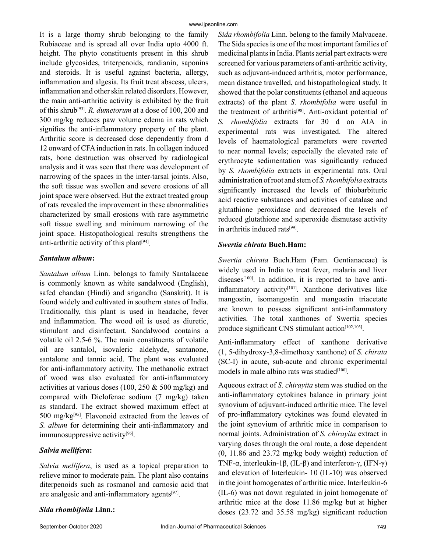It is a large thorny shrub belonging to the family Rubiaceae and is spread all over India upto 4000 ft. height. The phyto constituents present in this shrub include glycosides, triterpenoids, randianin, saponins and steroids. It is useful against bacteria, allergy, inflammation and algesia. Its fruit treat abscess, ulcers, inflammation and other skin related disorders. However, the main anti-arthritic activity is exhibited by the fruit of this shrub[93]. *R. dumetorum* at a dose of 100, 200 and 300 mg/kg reduces paw volume edema in rats which signifies the anti-inflammatory property of the plant. Arthritic score is decreased dose dependently from d 12 onward of CFA induction in rats. In collagen induced rats, bone destruction was observed by radiological analysis and it was seen that there was development of narrowing of the spaces in the inter-tarsal joints. Also, the soft tissue was swollen and severe erosions of all joint space were observed. But the extract treated group of rats revealed the improvement in these abnormalities characterized by small erosions with rare asymmetric soft tissue swelling and minimum narrowing of the joint space. Histopathological results strengthens the anti-arthritic activity of this plant<sup>[94]</sup>.

#### *Santalum album***:**

*Santalum album* Linn. belongs to family Santalaceae is commonly known as white sandalwood (English), safed chandan (Hindi) and srigandha (Sanskrit). It is found widely and cultivated in southern states of India. Traditionally, this plant is used in headache, fever and inflammation. The wood oil is used as diuretic, stimulant and disinfectant. Sandalwood contains a volatile oil 2.5-6 %. The main constituents of volatile oil are santalol, isovaleric aldehyde, santanone, santalone and tannic acid. The plant was evaluated for anti-inflammatory activity. The methanolic extract of wood was also evaluated for anti-inflammatory activities at various doses (100, 250  $\&$  500 mg/kg) and compared with Diclofenac sodium (7 mg/kg) taken as standard. The extract showed maximum effect at 500 mg/ $kg^{[95]}$ . Flavonoid extracted from the leaves of *S. album* for determining their anti-inflammatory and immunosuppressive activity<sup>[96]</sup>.

## *Salvia mellifera***:**

*Salvia mellifera*, is used as a topical preparation to relieve minor to moderate pain. The plant also contains diterpenoids such as rosmanol and carnosic acid that are analgesic and anti-inflammatory agents[97].

## *Sida rhombifolia* **Linn.:**

*Sida rhombifolia* Linn. belong to the family Malvaceae. The Sida species is one of the most important families of medicinal plants in India. Plants aerial part extracts were screened for various parameters of anti-arthritic activity, such as adjuvant-induced arthritis, motor performance, mean distance travelled, and histopathological study. It showed that the polar constituents (ethanol and aqueous extracts) of the plant *S. rhombifolia* were useful in the treatment of arthritis<sup>[98]</sup>. Anti-oxidant potential of *S. rhombifolia* extracts for 30 d on AIA in experimental rats was investigated. The altered levels of haematological parameters were reverted to near normal levels; especially the elevated rate of erythrocyte sedimentation was significantly reduced by *S. rhombifolia* extracts in experimental rats. Oral administration of root and stem of *S. rhombifolia* extracts significantly increased the levels of thiobarbituric acid reactive substances and activities of catalase and glutathione peroxidase and decreased the levels of reduced glutathione and superoxide dismutase activity in arthritis induced rats[99].

#### *Swertia chirata* **Buch.Ham:**

*Swertia chirata* Buch.Ham (Fam. Gentianaceae) is widely used in India to treat fever, malaria and liver diseases<sup>[100]</sup>. In addition, it is reported to have antiinflammatory activity $[101]$ . Xanthone derivatives like mangostin, isomangostin and mangostin triacetate are known to possess significant anti-inflammatory activities. The total xanthones of Swertia species produce significant CNS stimulant action<sup>[102,103]</sup>.

Anti-inflammatory effect of xanthone derivative (1, 5-dihydroxy-3,8-dimethoxy xanthone) of *S. chirata* (SC-I) in acute, sub-acute and chronic experimental models in male albino rats was studied<sup>[100]</sup>.

Aqueous extract of *S. chirayita* stem was studied on the anti-inflammatory cytokines balance in primary joint synovium of adjuvant-induced arthritic mice. The level of pro-inflammatory cytokines was found elevated in the joint synovium of arthritic mice in comparison to normal joints. Administration of *S. chirayita* extract in varying doses through the oral route, a dose dependent (0, 11.86 and 23.72 mg/kg body weight) reduction of TNF-α, interleukin-1β, (IL-β) and interferon-γ, (IFN-γ) and elevation of Interleukin- 10 (IL-10) was observed in the joint homogenates of arthritic mice. Interleukin-6 (IL-6) was not down regulated in joint homogenate of arthritic mice at the dose 11.86 mg/kg but at higher doses (23.72 and 35.58 mg/kg) significant reduction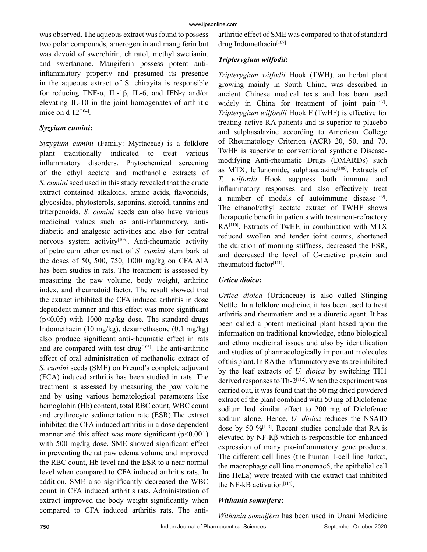was observed. The aqueous extract was found to possess two polar compounds, amerogentin and mangiferin but was devoid of swerchirin, chiratol, methyl swetianin, and swertanone. Mangiferin possess potent antiinflammatory property and presumed its presence in the aqueous extract of S. chirayita is responsible for reducing TNF-α, IL-1β, IL-6, and IFN-γ and/or elevating IL-10 in the joint homogenates of arthritic mice on d  $12^{[104]}$ .

#### *Syzyium cumini***:**

*Syzygium cumini* (Family: Myrtaceae) is a folklore plant traditionally indicated to treat various inflammatory disorders. Phytochemical screening of the ethyl acetate and methanolic extracts of *S. cumini* seed used in this study revealed that the crude extract contained alkaloids, amino acids, flavonoids, glycosides, phytosterols, saponins, steroid, tannins and triterpenoids. *S. cumini* seeds can also have various medicinal values such as anti-inflammatory, antidiabetic and analgesic activities and also for central nervous system activity<sup>[105]</sup>. Anti-rheumatic activity of petroleum ether extract of *S. cumini* stem bark at the doses of 50, 500, 750, 1000 mg/kg on CFA AIA has been studies in rats. The treatment is assessed by measuring the paw volume, body weight, arthritic index, and rheumatoid factor. The result showed that the extract inhibited the CFA induced arthritis in dose dependent manner and this effect was more significant  $(p<0.05)$  with 1000 mg/kg dose. The standard drugs Indomethacin (10 mg/kg), dexamethasone (0.1 mg/kg) also produce significant anti-rheumatic effect in rats and are compared with test drug<sup>[106]</sup>. The anti-arthritic effect of oral administration of methanolic extract of *S. cumini* seeds (SME) on Freund's complete adjuvant (FCA) induced arthritis has been studied in rats. The treatment is assessed by measuring the paw volume and by using various hematological parameters like hemoglobin (Hb) content, total RBC count, WBC count and erythrocyte sedimentation rate (ESR).The extract inhibited the CFA induced arthritis in a dose dependent manner and this effect was more significant  $(p<0.001)$ with 500 mg/kg dose. SME showed significant effect in preventing the rat paw edema volume and improved the RBC count, Hb level and the ESR to a near normal level when compared to CFA induced arthritis rats. In addition, SME also significantly decreased the WBC count in CFA induced arthritis rats. Administration of extract improved the body weight significantly when compared to CFA induced arthritis rats. The antiarthritic effect of SME was compared to that of standard drug Indomethacin<sup>[107]</sup>.

## *Tripterygium wilfodii***:**

*Tripterygium wilfodii* Hook (TWH), an herbal plant growing mainly in South China, was described in ancient Chinese medical texts and has been used widely in China for treatment of joint pain<sup>[107]</sup>. *Tripterygium wilfordii* Hook F (TwHF) is effective for treating active RA patients and is superior to placebo and sulphasalazine according to American College of Rheumatology Criterion (ACR) 20, 50, and 70. TwHF is superior to conventional synthetic Diseasemodifying Anti-rheumatic Drugs (DMARDs) such as MTX, leflunomide, sulphasalazine<sup>[108]</sup>. Extracts of *T. wilfordii* Hook suppress both immune and inflammatory responses and also effectively treat a number of models of autoimmune disease<sup>[109]</sup>. The ethanol/ethyl acetate extract of TWHF shows therapeutic benefit in patients with treatment-refractory RA[110]. Extracts of TwHF, in combination with MTX reduced swollen and tender joint counts, shortened the duration of morning stiffness, decreased the ESR, and decreased the level of C-reactive protein and rheumatoid factor<sup>[111]</sup>.

## *Urtica dioica***:**

*Urtica dioica* (Urticaceae) is also called Stinging Nettle. In a folklore medicine, it has been used to treat arthritis and rheumatism and as a diuretic agent. It has been called a potent medicinal plant based upon the information on traditional knowledge, ethno biological and ethno medicinal issues and also by identification and studies of pharmacologically important molecules of this plant. In RA the inflammatory events are inhibited by the leaf extracts of *U. dioica* by switching TH1 derived responses to  $Th-2^{[112]}$ . When the experiment was carried out, it was found that the 50 mg dried powdered extract of the plant combined with 50 mg of Diclofenac sodium had similar effect to 200 mg of Diclofenac sodium alone. Hence, *U. dioica* reduces the NSAID dose by 50  $\frac{6}{113}$ . Recent studies conclude that RA is elevated by NF-Кβ which is responsible for enhanced expression of many pro-inflammatory gene products. The different cell lines (the human T-cell line Jurkat, the macrophage cell line monomac6, the epithelial cell line HeLa) were treated with the extract that inhibited the NF-kB activation $[114]$ .

## *Withania somnifera***:**

*Withania somnifera* has been used in Unani Medicine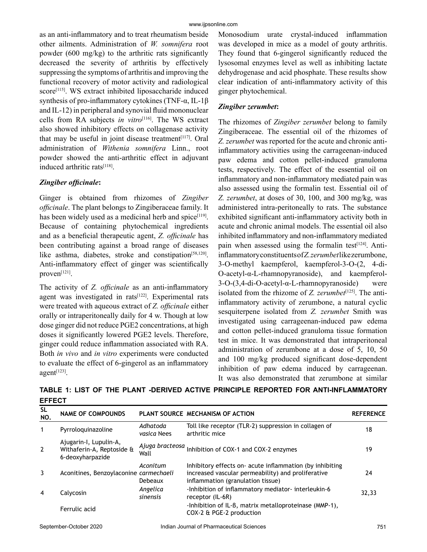as an anti-inflammatory and to treat rheumatism beside other ailments. Administration of *W. somnifera* root powder (600 mg/kg) to the arthritic rats significantly decreased the severity of arthritis by effectively suppressing the symptoms of arthritis and improving the functional recovery of motor activity and radiological score<sup>[115]</sup>. WS extract inhibited liposaccharide induced synthesis of pro-inflammatory cytokines (TNF-α, IL-1β and IL-12) in peripheral and synovial fluid mononuclear cells from RA subjects *in vitro*[116]. The WS extract also showed inhibitory effects on collagenase activity that may be useful in joint disease treatment $[117]$ . Oral administration of *Withenia somnifera* Linn., root powder showed the anti-arthritic effect in adjuvant induced arthritic rats[118].

## *Zingiber officinale***:**

Ginger is obtained from rhizomes of *Zingiber officinale*. The plant belongs to Zingiberaceae family. It has been widely used as a medicinal herb and spice $[119]$ . Because of containing phytochemical ingredients and as a beneficial therapeutic agent, *Z. officinale* has been contributing against a broad range of diseases like asthma, diabetes, stroke and constipation<sup>[58,120]</sup>. Anti-inflammatory effect of ginger was scientifically proven<sup>[121]</sup>.

The activity of *Z. officinale* as an anti-inflammatory agent was investigated in rats<sup>[122]</sup>. Experimental rats were treated with aqueous extract of *Z. officinale* either orally or intraperitoneally daily for 4 w. Though at low dose ginger did not reduce PGE2 concentrations, at high doses it significantly lowered PGE2 levels. Therefore, ginger could reduce inflammation associated with RA. Both *in vivo* and *in vitro* experiments were conducted to evaluate the effect of 6-gingerol as an inflammatory  $a$ gent $^{[123]}$ .

Monosodium urate crystal-induced inflammation was developed in mice as a model of gouty arthritis. They found that 6-gingerol significantly reduced the lysosomal enzymes level as well as inhibiting lactate dehydrogenase and acid phosphate. These results show clear indication of anti-inflammatory activity of this ginger phytochemical.

## *Zingiber zerumbet***:**

The rhizomes of *Zingiber zerumbet* belong to family Zingiberaceae. The essential oil of the rhizomes of *Z. zerumbet* was reported for the acute and chronic antiinflammatory activities using the carrageenan-induced paw edema and cotton pellet-induced granuloma tests, respectively. The effect of the essential oil on inflammatory and non-inflammatory mediated pain was also assessed using the formalin test. Essential oil of *Z. zerumbet*, at doses of 30, 100, and 300 mg/kg, was administered intra-peritoneally to rats. The substance exhibited significant anti-inflammatory activity both in acute and chronic animal models. The essential oil also inhibited inflammatory and non-inflammatory mediated pain when assessed using the formalin test $[124]$ . Antiinflammatory constituents of *Z. zerumbet* like zerumbone, 3-O-methyl kaempferol, kaempferol-3-O-(2, 4-di-O-acetyl-α-L-rhamnopyranoside), and kaempferol-3-O-(3,4-di-O-acetyl-α-L-rhamnopyranoside) were isolated from the rhizome of *Z. zerumbet*<sup>[125]</sup>. The antiinflammatory activity of zerumbone, a natural cyclic sesquiterpene isolated from *Z. zerumbet* Smith was investigated using carrageenan-induced paw edema and cotton pellet-induced granuloma tissue formation test in mice. It was demonstrated that intraperitoneal administration of zerumbone at a dose of 5, 10, 50 and 100 mg/kg produced significant dose-dependent inhibition of paw edema induced by carrageenan. It was also demonstrated that zerumbone at similar

| <b>SL</b><br>NO. | <b>NAME OF COMPOUNDS</b>                                                |                         | PLANT SOURCE MECHANISM OF ACTION                                                                                                                   | <b>REFERENCE</b> |
|------------------|-------------------------------------------------------------------------|-------------------------|----------------------------------------------------------------------------------------------------------------------------------------------------|------------------|
| $\mathbf 1$      | Pyrrologuinazoline                                                      | Adhatoda<br>vasica Nees | Toll like receptor (TLR-2) suppression in collagen of<br>arthritic mice                                                                            | 18               |
| 2                | Ajugarin-I, Lupulin-A,<br>Withaferin-A, Reptoside &<br>6-deoxyharpazide | Ajuga bracteosa<br>Wall | Inhibition of COX-1 and COX-2 enzymes                                                                                                              | 19               |
| 3                | Aconitines, Benzoylaconine carmechaeli                                  | Aconitum<br>Debeaux     | Inhibitory effects on acute inflammation (by inhibiting<br>increased vascular permeability) and proliferative<br>inflammation (granulation tissue) | 24               |
| 4                | Calycosin                                                               | Angelica<br>sinensis    | -Inhibition of inflammatory mediator-interleukin-6<br>receptor (IL-6R)                                                                             | 32,33            |
|                  | Ferrulic acid                                                           |                         | -Inhibition of IL-B, matrix metalloproteinase (MMP-1),<br>COX-2 & PGE-2 production                                                                 |                  |

**TABLE 1: LIST OF THE PLANT -DERIVED ACTIVE PRINCIPLE REPORTED FOR ANTI-INFLAMMATORY EFFECT**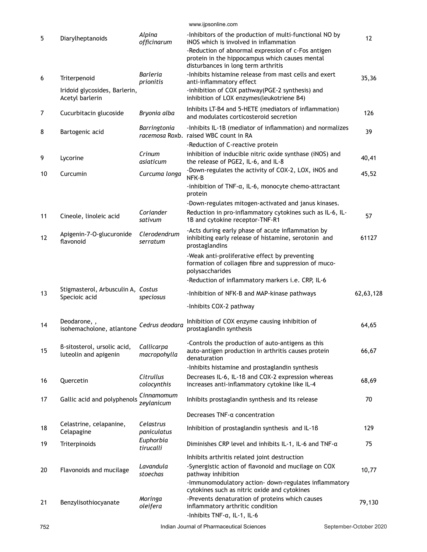|    |                                                                  |                                       | www.ijpsonline.com                                                                                                                                                                                                        |           |
|----|------------------------------------------------------------------|---------------------------------------|---------------------------------------------------------------------------------------------------------------------------------------------------------------------------------------------------------------------------|-----------|
| 5  | Diarylheptanoids                                                 | Alpina<br>officinarum                 | -Inhibitors of the production of multi-functional NO by<br>iNOS which is involved in inflammation<br>-Reduction of abnormal expression of c-Fos antigen<br>protein in the hippocampus which causes mental                 | 12        |
| 6  | Triterpenoid<br>Iridoid glycosides, Barlerin,<br>Acetyl barlerin | <b>Barleria</b><br>prionitis          | disturbances in long term arthritis<br>-Inhibits histamine release from mast cells and exert<br>anti-inflammatory effect<br>-inhibition of COX pathway(PGE-2 synthesis) and<br>inhibition of LOX enzymes (leukotriene B4) | 35,36     |
| 7  | Cucurbitacin glucoside                                           | Bryonia alba                          | Inhibits LT-B4 and 5-HETE (mediators of inflammation)<br>and modulates corticosteroid secretion                                                                                                                           | 126       |
| 8  | Bartogenic acid                                                  | Barringtonia                          | -Inhibits IL-1B (mediator of inflammation) and normalizes<br>racemosa Roxb. raised WBC count in RA                                                                                                                        | 39        |
| 9  | Lycorine                                                         | Crinum<br>asiaticum                   | -Reduction of C-reactive protein<br>inhibition of inducible nitric oxide synthase (iNOS) and<br>the release of PGE2, IL-6, and IL-8                                                                                       | 40,41     |
| 10 | Curcumin                                                         | Curcuma longa                         | -Down-regulates the activity of COX-2, LOX, iNOS and<br>NFK-B                                                                                                                                                             | 45,52     |
|    |                                                                  |                                       | -inhibition of TNF-a, IL-6, monocyte chemo-attractant<br>protein                                                                                                                                                          |           |
| 11 | Cineole, linoleic acid                                           | Coriander<br>sativum                  | -Down-regulates mitogen-activated and janus kinases.<br>Reduction in pro-inflammatory cytokines such as IL-6, IL-<br>1B and cytokine receptor-TNF-R1                                                                      | 57        |
| 12 | Apigenin-7-O-glucuronide<br>flavonoid                            | Clerodendrum<br>serratum              | -Acts during early phase of acute inflammation by<br>inhibiting early release of histamine, serotonin and<br>prostaglandins                                                                                               | 61127     |
|    |                                                                  |                                       | -Weak anti-proliferative effect by preventing<br>formation of collagen fibre and suppression of muco-<br>polysaccharides                                                                                                  |           |
|    |                                                                  |                                       | -Reduction of inflammatory markers i.e. CRP, IL-6                                                                                                                                                                         |           |
| 13 | Stigmasterol, Arbusculin A, Costus<br>Specioic acid              | speciosus                             | -Inhibition of NFK-B and MAP-kinase pathways                                                                                                                                                                              | 62,63,128 |
|    |                                                                  |                                       | -Inhibits COX-2 pathway                                                                                                                                                                                                   |           |
| 14 | Deodarone, ,<br>isohemacholone, atlantone                        | Cedrus deodara                        | Inhibition of COX enzyme causing inhibition of<br>prostaglandin synthesis                                                                                                                                                 | 64,65     |
| 15 | B-sitosterol, ursolic acid,<br>luteolin and apigenin             | Callicarpa<br>macropohylla            | -Controls the production of auto-antigens as this<br>auto-antigen production in arthritis causes protein<br>denaturation                                                                                                  | 66,67     |
|    |                                                                  |                                       | -Inhibits histamine and prostaglandin synthesis                                                                                                                                                                           |           |
| 16 | Quercetin                                                        | Citrullus<br>colocynthis              | Decreases IL-6, IL-1B and COX-2 expression whereas<br>increases anti-inflammatory cytokine like IL-4                                                                                                                      | 68,69     |
| 17 | Gallic acid and polyphenols                                      | Cinnamomum<br>zeylanicum              | Inhibits prostaglandin synthesis and its release                                                                                                                                                                          | 70        |
|    |                                                                  |                                       | Decreases TNF-a concentration                                                                                                                                                                                             |           |
| 18 | Celastrine, celapanine,<br>Celapagine                            | Celastrus<br>paniculatus<br>Euphorbia | Inhibition of prostaglandin synthesis and IL-1B                                                                                                                                                                           | 129       |
| 19 | Triterpinoids                                                    | tirucalli                             | Diminishes CRP level and inhibits IL-1, IL-6 and TNF-a                                                                                                                                                                    | 75        |
|    |                                                                  |                                       | Inhibits arthritis related joint destruction                                                                                                                                                                              |           |
| 20 | Flavonoids and mucilage                                          | Lavandula<br>stoechas                 | -Synergistic action of flavonoid and mucilage on COX<br>pathway inhibition<br>-Immunomodulatory action- down-regulates inflammatory                                                                                       | 10,77     |
|    |                                                                  |                                       | cytokines such as nitric oxide and cytokines                                                                                                                                                                              |           |
| 21 | Benzylisothiocyanate                                             | Moringa<br>oleifera                   | -Prevents denaturation of proteins which causes<br>inflammatory arthritic condition<br>-Inhibits TNF-a, IL-1, IL-6                                                                                                        | 79,130    |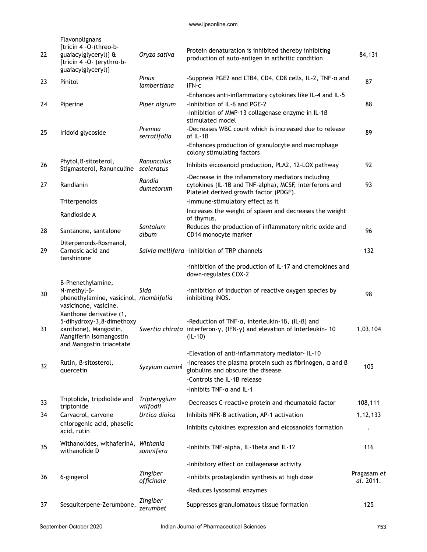| 22 | Flavonolignans<br>[tricin 4 - O-(threo-b-<br>guaiacylglyceryl)] &<br>[tricin 4 - O- (erythro-b-<br>guaiacylglyceryl)]                | Oryza sativa             | Protein denaturation is inhibited thereby inhibiting<br>production of auto-antigen in arthritic condition                                                                                    | 84,131                   |
|----|--------------------------------------------------------------------------------------------------------------------------------------|--------------------------|----------------------------------------------------------------------------------------------------------------------------------------------------------------------------------------------|--------------------------|
| 23 | Pinitol                                                                                                                              | Pinus<br>lambertiana     | -Suppress PGE2 and LTB4, CD4, CD8 cells, IL-2, TNF-a and<br>IFN-c                                                                                                                            | 87                       |
|    |                                                                                                                                      |                          | -Enhances anti-inflammatory cytokines like IL-4 and IL-5                                                                                                                                     |                          |
| 24 | Piperine                                                                                                                             | Piper nigrum             | -Inhibition of IL-6 and PGE-2<br>-Inhibition of MMP-13 collagenase enzyme in IL-1B<br>stimulated model                                                                                       | 88                       |
| 25 | Iridoid glycoside                                                                                                                    | Premna<br>serratifolia   | -Decreases WBC count which is increased due to release<br>of IL-1B                                                                                                                           | 89                       |
|    |                                                                                                                                      |                          | -Enhances production of granulocyte and macrophage<br>colony stimulating factors                                                                                                             |                          |
| 26 | Phytol, B-sitosterol,<br>Stigmasterol, Ranunculine                                                                                   | Ranunculus<br>sceleratus | Inhibits eicosanoid production, PLA2, 12-LOX pathway                                                                                                                                         | 92                       |
| 27 | Randianin                                                                                                                            | Randia<br>dumetorum      | -Decrease in the inflammatory mediators including<br>cytokines (IL-1B and TNF-alpha), MCSF, interferons and<br>Platelet derived growth factor (PDGF).                                        | 93                       |
|    | Triterpenoids                                                                                                                        |                          | -Immune-stimulatory effect as it                                                                                                                                                             |                          |
|    | Randioside A                                                                                                                         |                          | Increases the weight of spleen and decreases the weight<br>of thymus.                                                                                                                        |                          |
| 28 | Santanone, santalone                                                                                                                 | Santalum<br>album        | Reduces the production of inflammatory nitric oxide and<br>CD14 monocyte marker                                                                                                              | 96                       |
| 29 | Diterpenoids-Rosmanol,<br>Carnosic acid and<br>tanshinone                                                                            |                          | Salvia mellifera - Inhibition of TRP channels                                                                                                                                                | 132                      |
|    |                                                                                                                                      |                          | -inhibition of the production of IL-17 and chemokines and<br>down-regulates COX-2                                                                                                            |                          |
| 30 | B-Phenethylamine,<br>N-methyl-B-<br>phenethylamine, vasicinol, rhombifolia<br>vasicinone, vasicine.                                  | Sida                     | -inhibition of induction of reactive oxygen species by<br>inhibiting iNOS.                                                                                                                   | 98                       |
| 31 | Xanthone derivative (1,<br>5-dihydroxy-3,8-dimethoxy<br>xanthone), Mangostin,<br>Mangiferin Isomangostin<br>and Mangostin triacetate |                          | -Reduction of TNF-a, interleukin-1B, (IL-B) and<br>Swertia chirata interferon- $\gamma$ , (IFN- $\gamma$ ) and elevation of Interleukin-10<br>$(IL-10)$                                      | 1,03,104                 |
| 32 | Rutin, B-sitosterol,<br>quercetin                                                                                                    | Syzyium cumini           | -Elevation of anti-inflammatory mediator-IL-10<br>-Increases the plasma protein such as fibrinogen, $\alpha$ and $\beta$<br>globulins and obscure the disease<br>-Controls the IL-1B release | 105                      |
|    |                                                                                                                                      |                          | -Inhibits $TNF$ - $\alpha$ and IL-1                                                                                                                                                          |                          |
| 33 | Triptolide, tripdiolide and<br>triptonide                                                                                            | Tripterygium<br>wilfodii | -Decreases C-reactive protein and rheumatoid factor                                                                                                                                          | 108,111                  |
| 34 | Carvacrol, carvone                                                                                                                   | Urtica dioica            | Inhibits NFK-B activation, AP-1 activation                                                                                                                                                   | 1,12,133                 |
|    | chlorogenic acid, phaselic<br>acid, rutin                                                                                            |                          | Inhibits cytokines expression and eicosanoids formation                                                                                                                                      |                          |
| 35 | Withanolides, withaferinA, Withania<br>withanolide D                                                                                 | somnifera                | -Inhibits TNF-alpha, IL-1beta and IL-12                                                                                                                                                      | 116                      |
|    |                                                                                                                                      |                          | -Inhibitory effect on collagenase activity                                                                                                                                                   |                          |
| 36 | 6-gingerol                                                                                                                           | Zingiber<br>officinale   | -inhibits prostaglandin synthesis at high dose                                                                                                                                               | Pragasam et<br>al. 2011. |
|    |                                                                                                                                      |                          | -Reduces lysosomal enzymes                                                                                                                                                                   |                          |
| 37 | Sesquiterpene-Zerumbone.                                                                                                             | Zingiber<br>zerumbet     | Suppresses granulomatous tissue formation                                                                                                                                                    | 125                      |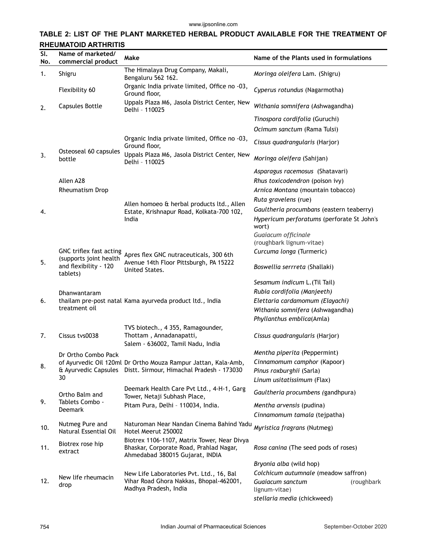## **TABLE 2: LIST OF THE PLANT MARKETED HERBAL PRODUCT AVAILABLE FOR THE TREATMENT OF RHEUMATOID ARTHRITIS**

| SI.<br>No. | Name of marketed/<br>commercial product                     | Make                                                                                                                      | Name of the Plants used in formulations                                                                                |
|------------|-------------------------------------------------------------|---------------------------------------------------------------------------------------------------------------------------|------------------------------------------------------------------------------------------------------------------------|
| 1.         | Shigru                                                      | The Himalaya Drug Company, Makali,<br>Bengaluru 562 162.                                                                  | Moringa oleifera Lam. (Shigru)                                                                                         |
|            | Flexibility 60                                              | Organic India private limited, Office no -03,<br>Ground floor,                                                            | Cyperus rotundus (Nagarmotha)                                                                                          |
| 2.         | <b>Capsules Bottle</b>                                      | Uppals Plaza M6, Jasola District Center, New<br>Delhi - 110025                                                            | Withania somnifera (Ashwagandha)                                                                                       |
|            |                                                             |                                                                                                                           | Tinospora cordifolia (Guruchi)                                                                                         |
|            |                                                             |                                                                                                                           | Ocimum sanctum (Rama Tulsi)                                                                                            |
|            |                                                             | Organic India private limited, Office no -03,<br>Ground floor,                                                            | Cissus quadrangularis (Harjor)                                                                                         |
| 3.         | Osteoseal 60 capsules<br>bottle                             | Uppals Plaza M6, Jasola District Center, New<br>Delhi - 110025                                                            | Moringa oleifera (Sahijan)                                                                                             |
|            |                                                             |                                                                                                                           | Asparagus racemosus (Shatavari)                                                                                        |
|            | Allen A28                                                   |                                                                                                                           | Rhus toxicodendron (poison ivy)                                                                                        |
|            | Rheumatism Drop                                             |                                                                                                                           | Arnica Montana (mountain tobacco)                                                                                      |
|            |                                                             |                                                                                                                           | Ruta gravelens (rue)                                                                                                   |
| 4.         |                                                             | Allen homoeo & herbal products ltd., Allen<br>Estate, Krishnapur Road, Kolkata-700 102,                                   | Gaultheria procumbans (eastern teaberry)                                                                               |
|            |                                                             | India                                                                                                                     | Hypericum perforatums (perforate St John's<br>wort)                                                                    |
|            |                                                             |                                                                                                                           | Guaiacum officinale                                                                                                    |
|            |                                                             |                                                                                                                           | (roughbark lignum-vitae)                                                                                               |
|            | GNC triflex fast acting                                     | Apres flex GNC nutraceuticals, 300 6th                                                                                    | Curcuma longa (Turmeric)                                                                                               |
| 5.         | (supports joint health<br>and flexibility - 120<br>tablets) | Avenue 14th Floor Pittsburgh, PA 15222<br>United States.                                                                  | Boswellia serrreta (Shallaki)                                                                                          |
|            |                                                             |                                                                                                                           | Sesamum indicum L. (Til Tail)                                                                                          |
|            | Dhanwantaram                                                |                                                                                                                           | Rubia cordifolia (Manjeeth)                                                                                            |
| 6.         |                                                             | thailam pre-post natal Kama ayurveda product ltd., India                                                                  | Elettaria cardamomum (Elayachi)                                                                                        |
|            | treatment oil                                               |                                                                                                                           | Withania somnifera (Ashwagandha)                                                                                       |
|            |                                                             |                                                                                                                           | Phyllanthus emblica(Amla)                                                                                              |
| 7.         | Cissus tys0038                                              | TVS biotech., 4 355, Ramagounder,<br>Thottam, Annadanapatti,<br>Salem - 636002, Tamil Nadu, India                         | Cissus quadrangularis (Harjor)                                                                                         |
|            | Dr Ortho Combo Pack                                         |                                                                                                                           | Mentha piperita (Peppermint)                                                                                           |
|            |                                                             | of Ayurvedic Oil 120ml Dr Ortho Mouza Rampur Jattan, Kala-Amb,                                                            | Cinnamomum camphor (Kapoor)                                                                                            |
| 8.         |                                                             | & Ayurvedic Capsules Distt. Sirmour, Himachal Pradesh - 173030                                                            | Pinus roxburghii (Sarla)                                                                                               |
|            | 30                                                          |                                                                                                                           | Linum usitatissimum (Flax)                                                                                             |
|            | Ortho Balm and                                              | Deemark Health Care Pvt Ltd., 4-H-1, Garg<br>Tower, Netaji Subhash Place,                                                 | Gaultheria procumbens (gandhpura)                                                                                      |
| 9.         | Tablets Combo -<br><b>Deemark</b>                           | Pitam Pura, Delhi - 110034, India.                                                                                        | Mentha arvensis (pudina)                                                                                               |
|            |                                                             |                                                                                                                           | Cinnamomum tamala (tejpatha)                                                                                           |
| 10.        | Nutmeg Pure and<br>Natural Essential Oil                    | Naturoman Near Nandan Cinema Bahind Yadu<br>Hotel Meerut 250002                                                           | Myristica fragrans (Nutmeg)                                                                                            |
| 11.        | Biotrex rose hip<br>extract                                 | Biotrex 1106-1107, Matrix Tower, Near Divya<br>Bhaskar, Corporate Road, Prahlad Nagar,<br>Ahmedabad 380015 Gujarat, INDIA | Rosa canina (The seed pods of roses)                                                                                   |
|            |                                                             |                                                                                                                           | Bryonia alba (wild hop)                                                                                                |
| 12.        | New life rheumacin<br>drop                                  | New Life Laboratories Pvt. Ltd., 16, Bal<br>Vihar Road Ghora Nakkas, Bhopal-462001,<br>Madhya Pradesh, India              | Colchicum autumnale (meadow saffron)<br>Guaiacum sanctum<br>(roughbark<br>lignum-vitae)<br>stellaria media (chickweed) |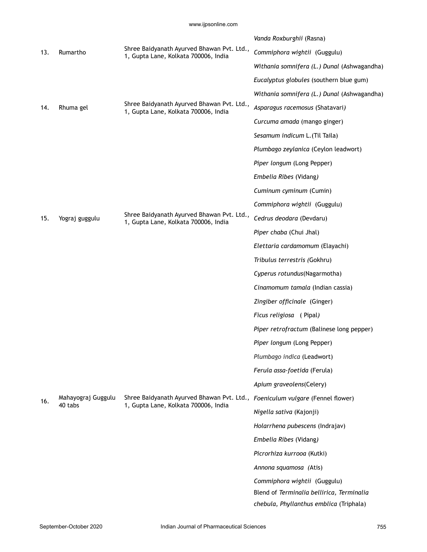|     |                               |                                                                                                                       | Vanda Roxburghii (Rasna)                    |
|-----|-------------------------------|-----------------------------------------------------------------------------------------------------------------------|---------------------------------------------|
| 13. | Rumartho                      | Shree Baidyanath Ayurved Bhawan Pvt. Ltd.,<br>1, Gupta Lane, Kolkata 700006, India                                    | Commiphora wightii (Guggulu)                |
|     |                               |                                                                                                                       | Withania somnifera (L.) Dunal (Ashwagandha) |
|     |                               |                                                                                                                       | Eucalyptus globules (southern blue gum)     |
|     |                               |                                                                                                                       | Withania somnifera (L.) Dunal (Ashwagandha) |
| 14. | Rhuma gel                     | Shree Baidyanath Ayurved Bhawan Pvt. Ltd.,<br>1, Gupta Lane, Kolkata 700006, India                                    | Asparagus racemosus (Shatavari)             |
|     |                               |                                                                                                                       | Curcuma amada (mango ginger)                |
|     |                               |                                                                                                                       | Sesamum indicum L. (Til Taila)              |
|     |                               |                                                                                                                       | Plumbago zeylanica (Ceylon leadwort)        |
|     |                               |                                                                                                                       | Piper longum (Long Pepper)                  |
|     |                               |                                                                                                                       | Embelia Ribes (Vidang)                      |
|     |                               |                                                                                                                       | Cuminum cyminum (Cumin)                     |
|     |                               |                                                                                                                       | Commiphora wightii (Guggulu)                |
| 15. | Yograj guggulu                | Shree Baidyanath Ayurved Bhawan Pvt. Ltd.,<br>1, Gupta Lane, Kolkata 700006, India                                    | Cedrus deodara (Devdaru)                    |
|     |                               |                                                                                                                       | Piper chaba (Chui Jhal)                     |
|     |                               |                                                                                                                       | Elettaria cardamomum (Elayachi)             |
|     |                               |                                                                                                                       | Tribulus terrestris (Gokhru)                |
|     |                               |                                                                                                                       | Cyperus rotundus(Nagarmotha)                |
|     |                               |                                                                                                                       | Cinamomum tamala (Indian cassia)            |
|     |                               |                                                                                                                       | Zingiber officinale (Ginger)                |
|     |                               |                                                                                                                       | Ficus religiosa (Pipal)                     |
|     |                               |                                                                                                                       | Piper retrofractum (Balinese long pepper)   |
|     |                               |                                                                                                                       | Piper longum (Long Pepper)                  |
|     |                               |                                                                                                                       | Plumbago indica (Leadwort)                  |
|     |                               |                                                                                                                       | Ferula assa-foetida (Ferula)                |
|     |                               |                                                                                                                       | Apium graveolens(Celery)                    |
| 16. | Mahayograj Guggulu<br>40 tabs | Shree Baidyanath Ayurved Bhawan Pvt. Ltd., Foeniculum vulgare (Fennel flower)<br>1, Gupta Lane, Kolkata 700006, India |                                             |
|     |                               |                                                                                                                       | Nigella sativa (Kajonji)                    |
|     |                               |                                                                                                                       | Holarrhena pubescens (Indrajav)             |
|     |                               |                                                                                                                       | Embelia Ribes (Vidang)                      |
|     |                               |                                                                                                                       | Picrorhiza kurrooa (Kutki)                  |
|     |                               |                                                                                                                       | Annona squamosa (Atis)                      |
|     |                               |                                                                                                                       | Commiphora wightii (Guggulu)                |
|     |                               |                                                                                                                       | Blend of Terminalia bellirica, Terminalia   |
|     |                               |                                                                                                                       | chebula, Phyllanthus emblica (Triphala)     |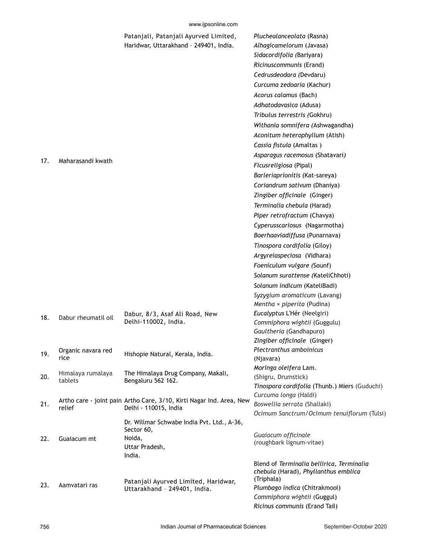#### www.ijpsonline.com

|     |                     | Patanjali, Patanjali Ayurved Limited,                                | Pluchealanceolata (Rasna)                                                         |
|-----|---------------------|----------------------------------------------------------------------|-----------------------------------------------------------------------------------|
|     |                     | Haridwar, Uttarakhand - 249401, India.                               | Alhagicamelorum (Javasa)                                                          |
|     |                     |                                                                      | Sidacordifolia (Bariyara)                                                         |
|     |                     |                                                                      | Ricinuscommunis (Erand)                                                           |
|     |                     |                                                                      | Cedrusdeodara (Devdaru)                                                           |
|     |                     |                                                                      | Curcuma zedoaria (Kachur)                                                         |
|     |                     |                                                                      | Acorus calamus (Bach)                                                             |
|     |                     |                                                                      | Adhatodavasica (Adusa)                                                            |
|     |                     |                                                                      | Tribulus terrestris (Gokhru)                                                      |
|     |                     |                                                                      | Withania somnifera (Ashwagandha)                                                  |
|     |                     |                                                                      | Aconitum heterophyllum (Atish)                                                    |
|     |                     |                                                                      | Cassia fistula (Amaltas)                                                          |
| 17. | Maharasandi kwath   |                                                                      | Asparagus racemosus (Shatavari)                                                   |
|     |                     |                                                                      | Ficusreligiosa (Pipal)                                                            |
|     |                     |                                                                      | Barleriaprionitis (Kat-sareya)                                                    |
|     |                     |                                                                      | Coriandrum sativum (Dhaniya)                                                      |
|     |                     |                                                                      | Zingiber officinale (Ginger)                                                      |
|     |                     |                                                                      | Terminalia chebula (Harad)                                                        |
|     |                     |                                                                      | Piper retrofractum (Chavya)                                                       |
|     |                     |                                                                      | Cyperusscariosus (Nagarmotha)                                                     |
|     |                     |                                                                      | Boerhaaviadiffusa (Punarnava)                                                     |
|     |                     |                                                                      | Tinospora cordifolia (Giloy)                                                      |
|     |                     |                                                                      | Argyreiaspeciosa (Vidhara)                                                        |
|     |                     |                                                                      | Foeniculum vulgare (Sounf)                                                        |
|     |                     |                                                                      | Solanum surattense (KateliChhoti)                                                 |
|     |                     |                                                                      | Solanum indicum (KateliBadi)                                                      |
|     |                     |                                                                      | Syzygium aromaticum (Lavang)                                                      |
|     |                     |                                                                      | Mentha $\times$ piperita (Pudina)                                                 |
|     |                     | Dabur, 8/3, Asaf Ali Road, New                                       | Eucalyptus L'Hér (Neelgiri)                                                       |
| 18. | Dabur rheumatil oil | Delhi-110002, India.                                                 | Commiphora wightii (Guggulu)                                                      |
|     |                     |                                                                      | Gaultheria (Gandhapuro)                                                           |
|     |                     |                                                                      | Zingiber officinale (Ginger)                                                      |
| 19. | Organic navara red  | Hishopie Natural, Kerala, India.                                     | Plectranthus amboinicus                                                           |
|     | rice                |                                                                      | (Njavara)                                                                         |
|     | Himalaya rumalaya   | The Himalaya Drug Company, Makali,                                   | Moringa oleifera Lam.                                                             |
| 20. | tablets             | Bengaluru 562 162.                                                   | (Shigru, Drumstick)                                                               |
|     |                     |                                                                      | Tinospora cordifolia (Thunb.) Miers (Guduchi)<br>Curcuma longa (Haldi)            |
| 21. |                     | Artho care - joint pain Artho Care, 3/10, Kirti Nagar Ind. Area, New | Boswellia serrata (Shallaki)                                                      |
|     | relief              | Delhi - 110015, India                                                | Ocimum Sanctrum/Ocimum tenuiflorum (Tulsi)                                        |
|     |                     | Dr. Willmar Schwabe India Pvt. Ltd., A-36,                           |                                                                                   |
|     |                     | Sector 60,                                                           |                                                                                   |
| 22. | Guaiacum mt         | Noida,                                                               | Guaiacum officinale<br>(roughbark lignum-vitae)                                   |
|     |                     | Uttar Pradesh,                                                       |                                                                                   |
|     |                     | India.                                                               |                                                                                   |
|     |                     |                                                                      | Blend of Terminalia bellirica, Terminalia<br>chebula (Harad), Phyllanthus emblica |
|     |                     | Patanjali Ayurved Limited, Haridwar,<br>Uttarakhand - 249401, India. | (Triphala)                                                                        |
| 23. | Aamvatari ras       |                                                                      | Plumbago indica (Chitrakmool)                                                     |
|     |                     |                                                                      | Commiphora wightii (Guggul)                                                       |
|     |                     |                                                                      | Ricinus communis (Erand Tail)                                                     |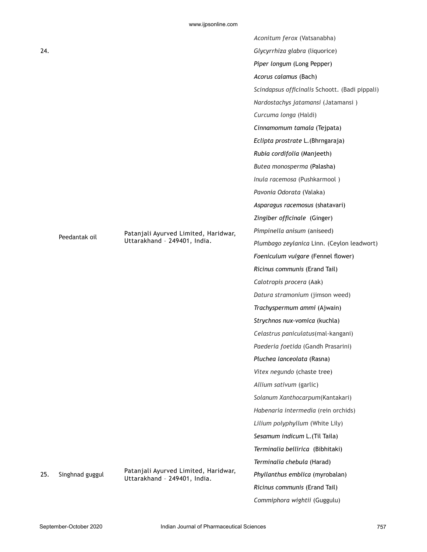|     |                              |                                                                      | Aconitum ferox (Vatsanabha)                    |
|-----|------------------------------|----------------------------------------------------------------------|------------------------------------------------|
| 24. |                              |                                                                      | Glycyrrhiza glabra (liquorice)                 |
|     |                              |                                                                      | Piper longum (Long Pepper)                     |
|     |                              |                                                                      | Acorus calamus (Bach)                          |
|     |                              |                                                                      | Scindapsus officinalis Schoott. (Badi pippali) |
|     |                              |                                                                      | Nardostachys jatamansi (Jatamansi)             |
|     |                              |                                                                      | Curcuma longa (Haldi)                          |
|     |                              |                                                                      | Cinnamomum tamala (Tejpata)                    |
|     |                              |                                                                      | Eclipta prostrate L. (Bhrngaraja)              |
|     |                              |                                                                      | Rubia cordifolia (Manjeeth)                    |
|     |                              |                                                                      | Butea monosperma (Palasha)                     |
|     |                              |                                                                      | Inula racemosa (Pushkarmool)                   |
|     |                              |                                                                      | Pavonia Odorata (Valaka)                       |
|     |                              |                                                                      | Asparagus racemosus (shatavari)                |
|     |                              |                                                                      | Zingiber officinale (Ginger)                   |
|     | Peedantak oil                | Patanjali Ayurved Limited, Haridwar,                                 | Pimpinella anisum (aniseed)                    |
|     | Uttarakhand - 249401, India. | Plumbago zeylanica Linn. (Ceylon leadwort)                           |                                                |
|     |                              |                                                                      | Foeniculum vulgare (Fennel flower)             |
|     |                              |                                                                      | Ricinus communis (Erand Tail)                  |
|     |                              |                                                                      | Calotropis procera (Aak)                       |
|     |                              |                                                                      | Datura stramonium (jimson weed)                |
|     |                              |                                                                      | Trachyspermum ammi (Ajwain)                    |
|     |                              |                                                                      | Strychnos nux-vomica (kuchla)                  |
|     |                              |                                                                      | Celastrus paniculatus(mal-kangani)             |
|     |                              |                                                                      | Paederia foetida (Gandh Prasarini)             |
|     |                              |                                                                      | Pluchea lanceolata (Rasna)                     |
|     |                              |                                                                      | Vitex negundo (chaste tree)                    |
|     |                              |                                                                      | Allium sativum (garlic)                        |
|     |                              |                                                                      | Solanum Xanthocarpum(Kantakari)                |
|     |                              |                                                                      | Habenaria intermedia (rein orchids)            |
|     |                              |                                                                      | Lilium polyphyllum (White Lily)                |
|     |                              |                                                                      | Sesamum indicum L. (Til Taila)                 |
|     |                              |                                                                      | Terminalia bellirica (Bibhitaki)               |
|     |                              |                                                                      | Terminalia chebula (Harad)                     |
| 25. | Singhnad guggul              | Patanjali Ayurved Limited, Haridwar,<br>Uttarakhand - 249401, India. | Phyllanthus emblica (myrobalan)                |
|     |                              |                                                                      | Ricinus communis (Erand Tail)                  |
|     |                              |                                                                      | Commiphora wightii (Guggulu)                   |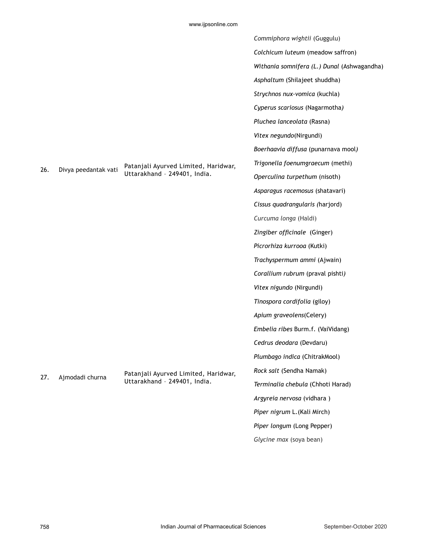|     |                      |                                      | Commiphora wightii (Guggulu)                |
|-----|----------------------|--------------------------------------|---------------------------------------------|
|     |                      |                                      | Colchicum luteum (meadow saffron)           |
|     |                      |                                      | Withania somnifera (L.) Dunal (Ashwagandha) |
|     |                      |                                      | Asphaltum (Shilajeet shuddha)               |
|     |                      |                                      | Strychnos nux-vomica (kuchla)               |
|     |                      |                                      | Cyperus scariosus (Nagarmotha)              |
|     |                      |                                      | Pluchea lanceolata (Rasna)                  |
|     |                      |                                      | Vitex negundo(Nirgundi)                     |
|     |                      |                                      | Boerhaavia diffusa (punarnava mool)         |
|     |                      | Patanjali Ayurved Limited, Haridwar, | Trigonella foenumgraecum (methi)            |
| 26. | Divya peedantak vati | Uttarakhand - 249401, India.         | Operculina turpethum (nisoth)               |
|     |                      |                                      | Asparagus racemosus (shatavari)             |
|     |                      |                                      | Cissus quadrangularis (harjord)             |
|     |                      |                                      | Curcuma longa (Haldi)                       |
|     |                      |                                      | Zingiber officinale (Ginger)                |
|     |                      |                                      | Picrorhiza kurrooa (Kutki)                  |
|     |                      |                                      | Trachyspermum ammi (Ajwain)                 |
|     |                      |                                      | Corallium rubrum (praval pishti)            |
|     |                      |                                      | Vitex nigundo (Nirgundi)                    |
|     |                      |                                      | Tinospora cordifolia (giloy)                |
|     |                      |                                      | Apium graveolens(Celery)                    |
|     |                      |                                      | Embelia ribes Burm.f. (VaiVidang)           |
|     |                      |                                      | Cedrus deodara (Devdaru)                    |
|     |                      |                                      | Plumbago indica (ChitrakMool)               |
|     |                      | Patanjali Ayurved Limited, Haridwar, | Rock salt (Sendha Namak)                    |
| 27. | Ajmodadi churna      | Uttarakhand - 249401, India.         | Terminalia chebula (Chhoti Harad)           |
|     |                      |                                      | Argyreia nervosa (vidhara)                  |
|     |                      |                                      | Piper nigrum L. (Kali Mirch)                |
|     |                      |                                      | Piper longum (Long Pepper)                  |
|     |                      |                                      | Glycine max (soya bean)                     |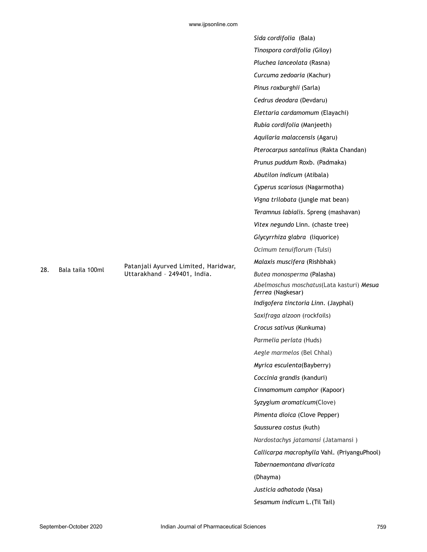|                                   | Sida cordifolia (Bala)                                         |
|-----------------------------------|----------------------------------------------------------------|
|                                   | Tinospora cordifolia (Giloy)                                   |
|                                   | Pluchea lanceolata (Rasna)                                     |
|                                   | Curcuma zedoaria (Kachur)                                      |
|                                   | Pinus roxburghii (Sarla)                                       |
|                                   | Cedrus deodara (Devdaru)                                       |
|                                   | Elettaria cardamomum (Elayachi)                                |
|                                   | Rubia cordifolia (Manjeeth)                                    |
|                                   | Aquilaria malaccensis (Agaru)                                  |
|                                   | Pterocarpus santalinus (Rakta Chandan)                         |
|                                   | Prunus puddum Roxb. (Padmaka)                                  |
|                                   | Abutilon indicum (Atibala)                                     |
|                                   | Cyperus scariosus (Nagarmotha)                                 |
|                                   | Vigna trilobata (jungle mat bean)                              |
|                                   | Teramnus labialis. Spreng (mashavan)                           |
|                                   | Vitex negundo Linn. (chaste tree)                              |
|                                   | Glycyrrhiza glabra (liquorice)                                 |
|                                   | Ocimum tenuiflorum (Tulsi)                                     |
| anjali Ayurved Limited, Haridwar, | Malaxis muscifera (Rishbhak)                                   |
| arakhand - 249401, India.         | Butea monosperma (Palasha)                                     |
|                                   | Abelmoschus moschatus(Lata kasturi) Mesua<br>ferrea (Nagkesar) |
|                                   | Indigofera tinctoria Linn. (Jayphal)                           |
|                                   | Saxifraga aizoon (rockfoils)                                   |
|                                   | Crocus sativus (Kunkuma)                                       |
|                                   | Parmelia perlata (Huds)                                        |
|                                   | Aegle marmelos (Bel Chhal)                                     |
|                                   | Myrica esculenta(Bayberry)                                     |
|                                   | Coccinia grandis (kanduri)                                     |
|                                   | Cinnamomum camphor (Kapoor)                                    |
|                                   | Syzygium aromaticum(Clove)                                     |
|                                   | Pimenta dioica (Clove Pepper)                                  |
|                                   | Saussurea costus (kuth)                                        |
|                                   | Nardostachys jatamansi (Jatamansi)                             |
|                                   | Callicarpa macrophylla Vahl. (PriyanguPhool)                   |
|                                   | Tabernaemontana divaricata                                     |
|                                   | (Dhayma)                                                       |
|                                   | Justicia adhatoda (Vasa)                                       |
|                                   | Sesamum indicum L. (Til Tail)                                  |

28. Bala taila 100ml Patangali Patangangan Patangangang Patangang Patangang Patangangan Patangangang Patangangan Patangangangan Patangangangangan Patangangangan Patangangangangan Patangangangangan Patangangangangangangang

Utta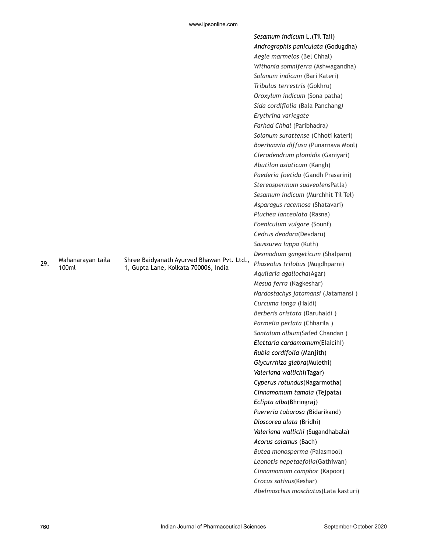|     |                            |                                                                                    | Sesamum indicum L. (Til Tail)       |
|-----|----------------------------|------------------------------------------------------------------------------------|-------------------------------------|
|     |                            |                                                                                    | Andrographis paniculata (Godugdha)  |
|     |                            |                                                                                    | Aegle marmelos (Bel Chhal)          |
|     |                            |                                                                                    | Withania somniferra (Ashwagandha)   |
|     |                            |                                                                                    | Solanum indicum (Bari Kateri)       |
|     |                            |                                                                                    | Tribulus terrestris (Gokhru)        |
|     |                            |                                                                                    | Oroxylum indicum (Sona patha)       |
|     |                            |                                                                                    | Sida cordiflolia (Bala Panchang)    |
|     |                            |                                                                                    | Erythrina variegate                 |
|     |                            |                                                                                    | Farhad Chhal (Paribhadra)           |
|     |                            |                                                                                    | Solanum surattense (Chhoti kateri)  |
|     |                            |                                                                                    | Boerhaavia diffusa (Punarnava Mool) |
|     |                            |                                                                                    | Clerodendrum plomidis (Ganiyari)    |
|     |                            |                                                                                    | Abutilon asiaticum (Kangh)          |
|     |                            |                                                                                    | Paederia foetida (Gandh Prasarini)  |
|     |                            |                                                                                    | Stereospermum suaveolensPatla)      |
|     |                            |                                                                                    | Sesamum indicum (Murchhit Til Tel)  |
|     |                            |                                                                                    | Asparagus racemosa (Shatavari)      |
|     |                            |                                                                                    | Pluchea lanceolata (Rasna)          |
|     |                            |                                                                                    | Foeniculum vulgare (Sounf)          |
|     |                            |                                                                                    | Cedrus deodara(Devdaru)             |
|     |                            |                                                                                    | Saussurea lappa (Kuth)              |
|     |                            |                                                                                    | Desmodium gangeticum (Shalparn)     |
| 29. | Mahanarayan taila<br>100ml | Shree Baidyanath Ayurved Bhawan Pvt. Ltd.,<br>1, Gupta Lane, Kolkata 700006, India | Phaseolus trilobus (Mugdhparni)     |
|     |                            |                                                                                    | Aquilaria agallocha(Agar)           |
|     |                            |                                                                                    | Mesua ferra (Nagkeshar)             |
|     |                            |                                                                                    | Nardostachys jatamansi (Jatamansi)  |
|     |                            |                                                                                    | Curcuma longa (Haldi)               |
|     |                            |                                                                                    | Berberis aristata (Daruhaldi)       |
|     |                            |                                                                                    | Parmelia perlata (Chharila)         |
|     |                            |                                                                                    | Santalum album(Safed Chandan)       |
|     |                            |                                                                                    | Elettaria cardamomum(Elaicihi)      |
|     |                            |                                                                                    | Rubia cordifolia (Manjith)          |
|     |                            |                                                                                    | Glycurrhiza glabra(Mulethi)         |
|     |                            |                                                                                    | Valeriana wallichi(Tagar)           |
|     |                            |                                                                                    | Cyperus rotundus(Nagarmotha)        |
|     |                            |                                                                                    | Cinnamomum tamala (Tejpata)         |
|     |                            |                                                                                    | Eclipta alba(Bhringraj)             |
|     |                            |                                                                                    | Puereria tuburosa (Bidarikand)      |
|     |                            |                                                                                    | Dioscorea alata (Bridhi)            |
|     |                            |                                                                                    | Valeriana wallichi (Sugandhabala)   |
|     |                            |                                                                                    | Acorus calamus (Bach)               |
|     |                            |                                                                                    | Butea monosperma (Palasmool)        |
|     |                            |                                                                                    | Leonotis nepetaefolia(Gathiwan)     |
|     |                            |                                                                                    | Cinnamomum camphor (Kapoor)         |
|     |                            |                                                                                    | Crocus sativus(Keshar)              |
|     |                            |                                                                                    | Abelmoschus moschatus(Lata kasturi) |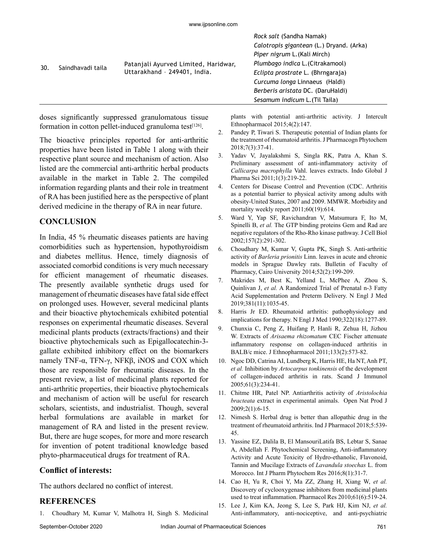|     |                   |                                                                      | Rock salt (Sandha Namak)                 |
|-----|-------------------|----------------------------------------------------------------------|------------------------------------------|
| 30. | Saindhavadi taila |                                                                      | Calotropis gigantean (L.) Dryand. (Arka) |
|     |                   |                                                                      | Piper nigrum L. (Kali Mirch)             |
|     |                   | Patanjali Ayurved Limited, Haridwar,<br>Uttarakhand - 249401, India. | Plumbago indica L. (Citrakamool)         |
|     |                   |                                                                      | Eclipta prostrate L. (Bhrngaraja)        |
|     |                   |                                                                      | Curcuma longa Linnaeus (Haldi)           |
|     |                   |                                                                      | Berberis aristata DC. (DaruHaldi)        |
|     |                   |                                                                      | Sesamum indicum L. (Til Taila)           |

doses significantly suppressed granulomatous tissue formation in cotton pellet-induced granuloma test $[126]$ .

The bioactive principles reported for anti-arthritic properties have been listed in Table 1 along with their respective plant source and mechanism of action. Also listed are the commercial anti-arthritic herbal products available in the market in Table 2. The compiled information regarding plants and their role in treatment of RA has been justified here as the perspective of plant derived medicine in the therapy of RA in near future.

#### **CONCLUSION**

In India, 45 % rheumatic diseases patients are having comorbidities such as hypertension, hypothyroidism and diabetes mellitus. Hence, timely diagnosis of associated comorbid conditions is very much necessary for efficient management of rheumatic diseases. The presently available synthetic drugs used for management of rheumatic diseases have fatal side effect on prolonged uses. However, several medicinal plants and their bioactive phytochemicals exhibited potential responses on experimental rheumatic diseases. Several medicinal plants products (extracts/fractions) and their bioactive phytochemicals such as Epigallocatechin-3 gallate exhibited inhibitory effect on the biomarkers namely TNF-α, TFN-γ, NFКβ, iNOS and COX which those are responsible for rheumatic diseases. In the present review, a list of medicinal plants reported for anti-arthritic properties, their bioactive phytochemicals and mechanism of action will be useful for research scholars, scientists, and industrialist. Though, several herbal formulations are available in market for management of RA and listed in the present review. But, there are huge scopes, for more and more research for invention of potent traditional knowledge based phyto-pharmaceutical drugs for treatment of RA.

## **Conflict of interests:**

The authors declared no conflict of interest.

## **REFERENCES**

1. Choudhary M, Kumar V, Malhotra H, Singh S. Medicinal

plants with potential anti-arthritic activity. J Intercult Ethnopharmacol 2015;4(2):147.

- 2. Pandey P, Tiwari S. Therapeutic potential of Indian plants for the treatment of rheumatoid arthritis. J Pharmacogn Phytochem 2018;7(3):37-41.
- 3. Yadav V, Jayalakshmi S, Singla RK, Patra A, Khan S. Preliminary assessment of anti-inflammatory activity of *Callicarpa macrophylla* Vahl. leaves extracts. Indo Global J Pharma Sci 2011;1(3):219-22.
- 4. Centers for Disease Control and Prevention (CDC. Arthritis as a potential barrier to physical activity among adults with obesity-United States, 2007 and 2009. MMWR. Morbidity and mortality weekly report  $2011;60(19):614$ .
- 5. Ward Y, Yap SF, Ravichandran V, Matsumura F, Ito M, Spinelli B, *et al.* The GTP binding proteins Gem and Rad are negative regulators of the Rho-Rho kinase pathway. J Cell Biol 2002;157(2):291-302.
- 6. Choudhary M, Kumar V, Gupta PK, Singh S. Anti-arthritic activity of *Barleria prionitis* Linn. leaves in acute and chronic models in Sprague Dawley rats. Bulletin of Faculty of Pharmacy, Cairo University 2014;52(2):199-209.
- 7. Makrides M, Best K, Yelland L, McPhee A, Zhou S, Quinlivan J, *et al.* A Randomized Trial of Prenatal n-3 Fatty Acid Supplementation and Preterm Delivery. N Engl J Med 2019;381(11):1035-45.
- 8. Harris Jr ED. Rheumatoid arthritis: pathophysiology and implications for therapy. N Engl J Med 1990;322(18):1277-89.
- 9. Chunxia C, Peng Z, Huifang P, Hanli R, Zehua H, Jizhou W. Extracts of *Arisaema rhizomatum* CEC Fischer attenuate inflammatory response on collagen-induced arthritis in BALB/c mice. J Ethnopharmacol 2011;133(2):573-82.
- 10. Ngoc DD, Catrina AI, Lundberg K, Harris HE, Ha NT, Anh PT, *et al.* Inhibition by *Artocarpus tonkinensis* of the development of collagen‐induced arthritis in rats. Scand J Immunol 2005;61(3):234-41.
- 11. Chitme HR, Patel NP. Antiarthritis activity of *Aristolochia bracteata* extract in experimental animals. Open Nat Prod J 2009;2(1):6-15.
- 12. Nimesh S. Herbal drug is better than allopathic drug in the treatment of rheumatoid arthritis. Ind J Pharmacol 2018;5:539- 45.
- 13. Yassine EZ, Dalila B, El MansouriLatifa BS, Lebtar S, Sanae A, Abdellah F. Phytochemical Screening, Anti-inflammatory Activity and Acute Toxicity of Hydro-ethanolic, Flavonoid, Tannin and Mucilage Extracts of *Lavandula stoechas* L. from Morocco. Int J Pharm Phytochem Res 2016;8(1):31-7.
- 14. Cao H, Yu R, Choi Y, Ma ZZ, Zhang H, Xiang W, *et al.* Discovery of cyclooxygenase inhibitors from medicinal plants used to treat inflammation. Pharmacol Res 2010;61(6):519-24.
- 15. Lee J, Kim KA, Jeong S, Lee S, Park HJ, Kim NJ, *et al.* Anti-inflammatory, anti-nociceptive, and anti-psychiatric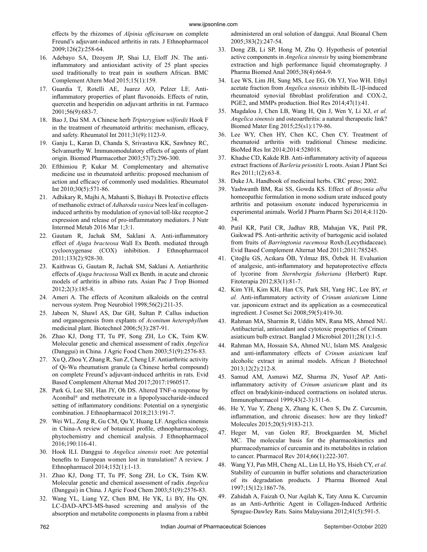effects by the rhizomes of *Alpinia officinarum* on complete Freund's adjuvant-induced arthritis in rats. J Ethnopharmacol 2009;126(2):258-64.

- 16. Adebayo SA, Dzoyem JP, Shai LJ, Eloff JN. The antiinflammatory and antioxidant activity of 25 plant species used traditionally to treat pain in southern African. BMC Complement Altern Med 2015;15(1):159.
- 17. Guardia T, Rotelli AE, Juarez AO, Pelzer LE. Antiinflammatory properties of plant flavonoids. Effects of rutin, quercetin and hesperidin on adjuvant arthritis in rat. Farmaco 2001;56(9):683-7.
- 18. Bao J, Dai SM. A Chinese herb *Tripterygium wilfordii* Hook F in the treatment of rheumatoid arthritis: mechanism, efficacy, and safety. Rheumatol Int 2011;31(9):1123-9.
- 19. Ganju L, Karan D, Chanda S, Srivastava KK, Sawhney RC, Selvamurthy W. Immunomodulatory effects of agents of plant origin. Biomed Pharmacother 2003;57(7):296-300.
- 20. Efthimiou P, Kukar M. Complementary and alternative medicine use in rheumatoid arthritis: proposed mechanism of action and efficacy of commonly used modalities. Rheumatol Int 2010;30(5):571-86.
- 21. Adhikary R, Majhi A, Mahanti S, Bishayi B. Protective effects of methanolic extract of *Adhatoda vasica* Nees leaf in collageninduced arthritis by modulation of synovial toll-like receptor-2 expression and release of pro-inflammatory mediators. J Nutr Intermed Metab 2016 Mar 1;3:1.
- 22. Gautam R, Jachak SM, Saklani A. Anti-inflammatory effect of *Ajuga bracteosa* Wall Ex Benth. mediated through cyclooxygenase (COX) inhibition. J Ethnopharmacol 2011;133(2):928-30.
- 23. Kaithwas G, Gautam R, Jachak SM, Saklani A. Antiarthritic effects of *Ajuga bracteosa* Wall ex Benth. in acute and chronic models of arthritis in albino rats. Asian Pac J Trop Biomed 2012;2(3):185-8.
- 24. Ameri A. The effects of Aconitum alkaloids on the central nervous system. Prog Neurobiol 1998;56(2):211-35.
- 25. Jabeen N, Shawl AS, Dar GH, Sultan P. Callus induction and organogenesis from explants of *Aconitum heterophyllum* medicinal plant. Biotechnol 2006;5(3):287-91.
- 26. Zhao KJ, Dong TT, Tu PF, Song ZH, Lo CK, Tsim KW. Molecular genetic and chemical assessment of radix *Angelica* (Danggui) in China. J Agric Food Chem 2003;51(9):2576-83.
- 27. Xu Q, Zhou Y, Zhang R, Sun Z, Cheng LF. Antiarthritic activity of Qi-Wu rheumatism granule (a Chinese herbal compound) on complete Freund's adjuvant-induced arthritis in rats. Evid Based Complement Alternat Med 2017;2017:1960517.
- 28. Park G, Lee SH, Han JY, Oh DS. Altered TNF- $\alpha$  response by Aconibal® and methotrexate in a lipopolysaccharide-induced setting of inflammatory conditions: Potential on a synergistic combination. J Ethnopharmacol 2018;213:191-7.
- 29. Wei WL, Zeng R, Gu CM, Qu Y, Huang LF. Angelica sinensis in China-A review of botanical profile, ethnopharmacology, phytochemistry and chemical analysis. J Ethnopharmacol 2016;190:116-41.
- 30. Hook ILI. Danggui to *Angelica sinensis* root: Are potential benefits to European women lost in translation? A review. J Ethnopharmacol 2014;152(1):1-13.
- 31. Zhao KJ, Dong TT, Tu PF, Song ZH, Lo CK, Tsim KW. Molecular genetic and chemical assessment of radix *Angelica* (Danggui) in China. J Agric Food Chem 2003;51(9):2576-83.
- 32. Wang YL, Liang YZ, Chen BM, He YK, Li BY, Hu QN. LC-DAD-APCI-MS-based screening and analysis of the absorption and metabolite components in plasma from a rabbit

administered an oral solution of danggui. Anal Bioanal Chem 2005;383(2):247-54.

- 33. Dong ZB, Li SP, Hong M, Zhu Q. Hypothesis of potential active components in *Angelica sinensis* by using biomembrane extraction and high performance liquid chromatography. J Pharma Biomed Anal 2005;38(4):664-9.
- 34. Lee WS, Lim JH, Sung MS, Lee EG, Oh YJ, Yoo WH. Ethyl acetate fraction from *Angelica sinensis* inhibits IL-1β-induced rheumatoid synovial fibroblast proliferation and COX-2, PGE2, and MMPs production. Biol Res 2014;47(1):41.
- 35. Magdalou J, Chen LB, Wang H, Qin J, Wen Y, Li XJ, *et al. Angelica sinensis* and osteoarthritis: a natural therapeutic link? Biomed Mater Eng 2015;25(s1):179-86.
- 36. Lee WY, Chen HY, Chen KC, Chen CY. Treatment of rheumatoid arthritis with traditional Chinese medicine. BioMed Res Int 2014;2014:528018.
- 37. Khadse CD, Kakde RB. Anti-inflammatory activity of aqueous extract fractions of *Barleria prionitis* L roots. Asian J Plant Sci Res 2011;1(2):63-8.
- 38. Duke JA. Handbook of medicinal herbs. CRC press; 2002.
- 39. Yashwanth BM, Rai SS, Gowda KS. Effect of *Bryonia alba* homeopathic formulation in mono sodium urate induced gouty arthritis and potassium oxonate induced hyperuricemia in experimental animals. World J Pharm Pharm Sci 2014;4:1120- 34.
- 40. Patil KR, Patil CR, Jadhav RB, Mahajan VK, Patil PR, Gaikwad PS. Anti-arthritic activity of bartogenic acid isolated from fruits of *Barringtonia racemosa* Roxb.(Lecythidaceae). Evid Based Complement Alternat Med 2011;2011:785245.
- 41. Çitoğlu GS, Acıkara ÖB, Yılmaz BS, Özbek H. Evaluation of analgesic, anti-inflammatory and hepatoprotective effects of lycorine from *Sternbergia fisheriana* (Herbert) Rupr. Fitoterapia 2012;83(1):81-7.
- 42. Kim YH, Kim KH, Han CS, Park SH, Yang HC, Lee BY, *et al.* Anti-inflammatory activity of *Crinum asiaticum* Linne var. japonicum extract and its application as a cosmeceutical ingredient. J Cosmet Sci 2008;59(5):419-30.
- 43. Rahman MA, Sharmin R, Uddin MN, Rana MS, Ahmed NU. Antibacterial, antioxidant and cytotoxic properties of Crinum asiaticum bulb extract. Banglad J Microbiol 2011;28(1):1-5.
- 44. Rahman MA, Hossain SA, Ahmed NU, Islam MS. Analgesic and anti-inflammatory effects of *Crinum asiaticum* leaf alcoholic extract in animal models. African J Biotechnol 2013;12(2):212-8.
- 45. Samud AM, Asmawi MZ, Sharma JN, Yusof AP. Antiinflammatory activity of *Crinum asiaticum* plant and its effect on bradykinin-induced contractions on isolated uterus. Immunopharmacol 1999;43(2-3):311-6.
- 46. He Y, Yue Y, Zheng X, Zhang K, Chen S, Du Z. Curcumin, inflammation, and chronic diseases: how are they linked? Molecules 2015;20(5):9183-213.
- 47. Heger M, van Golen RF, Broekgaarden M, Michel MC. The molecular basis for the pharmacokinetics and pharmacodynamics of curcumin and its metabolites in relation to cancer. Pharmacol Rev 2014;66(1):222-307.
- 48. Wang YJ, Pan MH, Cheng AL, Lin LI, Ho YS, Hsieh CY, *et al.* Stability of curcumin in buffer solutions and characterization of its degradation products. J Pharma Biomed Anal 1997;15(12):1867-76.
- 49. Zahidah A, Faizah O, Nur Aqilah K, Taty Anna K. Curcumin as an Anti-Arthritic Agent in Collagen-Induced Arthritic Sprague-Dawley Rats. Sains Malaysiana 2012;41(5):591-5.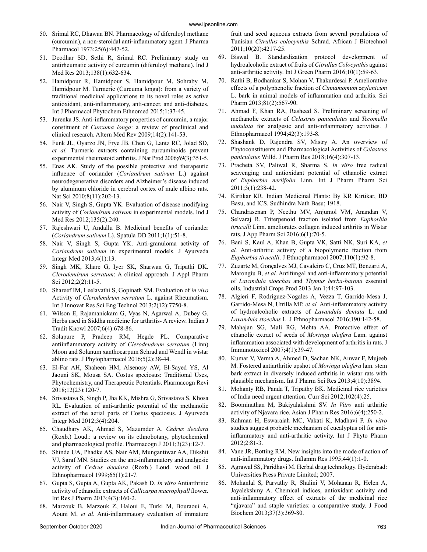- 50. Srimal RC, Dhawan BN. Pharmacology of diferuloyl methane (curcumin), a non‐steroidal anti‐inflammatory agent. J Pharma Pharmacol 1973;25(6):447-52.
- 51. Dcodhar SD, Sethi R, Srimal RC. Preliminary study on antirheumatic activity of curcumin (diferuloyl methane). Ind J Med Res 2013;138(1):632-634.
- 52. Hamidpour R, Hamidpour S, Hamidpour M, Sohraby M, Hamidpour M. Turmeric (Curcuma longa): from a variety of traditional medicinal applications to its novel roles as active antioxidant, anti-inflammatory, anti-cancer, and anti-diabetes. Int J Pharmacol Phytochem Ethnomed 2015;1:37-45.
- 53. Jurenka JS. Anti-inflammatory properties of curcumin, a major constituent of *Curcuma longa*: a review of preclinical and clinical research. Altern Med Rev 2009;14(2):141-53.
- 54. Funk JL, Oyarzo JN, Frye JB, Chen G, Lantz RC, Jolad SD, *et al.* Turmeric extracts containing curcuminoids prevent experimental rheumatoid arthritis. J Nat Prod 2006;69(3):351-5.
- 55. Enas AK. Study of the possible protective and therapeutic influence of coriander (*Coriandrum sativum* L.) against neurodegenerative disorders and Alzheimer's disease induced by aluminum chloride in cerebral cortex of male albino rats. Nat Sci 2010;8(11):202-13.
- 56. Nair V, Singh S, Gupta YK. Evaluation of disease modifying activity of *Coriandrum sativum* in experimental models. Ind J Med Res 2012;135(2):240.
- 57. Rajeshwari U, Andallu B. Medicinal benefits of coriander (*Coriandrum sativum* L). Spatula DD 2011;1(1):51-8.
- 58. Nair V, Singh S, Gupta YK. Anti-granuloma activity of *Coriandrum sativum* in experimental models. J Ayurveda Integr Med 2013;4(1):13.
- 59. Singh MK, Khare G, Iyer SK, Sharwan G, Tripathi DK. *Clerodendrum serratum*: A clinical approach. J Appl Pharm Sci 2012;2(2):11-5.
- 60. Shareef IM, Leelavathi S, Gopinath SM. Evaluation of *in vivo* Activity of *Clerodendrum serratum* L. against Rheumatism. Int J Innovat Res Sci Eng Technol 2013;2(12):7750-8.
- 61. Wilson E, Rajamanickam G, Vyas N, Agarwal A, Dubey G. Herbs used in Siddha medicine for arthritis- A review. Indian J Tradit Knowl 2007;6(4):678-86.
- 62. Solapure P, Pradeep RM, Hegde PL. Comparative antiinflammatory activity of *Clerodendrum serratum* (Linn) Moon and Solanum xanthocarpum Schrad and Wendl in wistar ablino rats. J Phytopharmacol 2016;5(2):38-44.
- 63. El-Far AH, Shaheen HM, Alsenosy AW, El-Sayed YS, Al Jaouni SK, Mousa SA. Costus speciosus: Traditional Uses, Phytochemistry, and Therapeutic Potentials. Pharmacogn Revi 2018;12(23):120-7.
- 64. Srivastava S, Singh P, Jha KK, Mishra G, Srivastava S, Khosa RL. Evaluation of anti-arthritic potential of the methanolic extract of the aerial parts of Costus speciosus. J Ayurveda Integr Med 2012;3(4):204.
- 65. Chaudhary AK, Ahmad S, Mazumder A. *Cedrus deodara* (Roxb.) Loud.: a review on its ethnobotany, phytochemical and pharmacological profile. Pharmacogn J 2011;3(23):12-7.
- 66. Shinde UA, Phadke AS, Nair AM, Mungantiwar AA, Dikshit VJ, Saraf MN. Studies on the anti-inflammatory and analgesic activity of *Cedrus deodara* (Roxb.) Loud. wood oil. J Ethnopharmacol 1999;65(1):21-7.
- 67. Gupta S, Gupta A, Gupta AK, Pakash D. *In vitro* Antiarthritic activity of ethanolic extracts of *Callicarpa macrophyall* flower. Int Res J Pharm 2013;4(3):160-2.
- 68. Marzouk B, Marzouk Z, Haloui E, Turki M, Bouraoui A, Aouni M, *et al.* Anti-inflammatory evaluation of immature

fruit and seed aqueous extracts from several populations of Tunisian *Citrullus colocynthis* Schrad. African J Biotechnol 2011;10(20):4217-25.

- 69. Biswal B. Standardization protocol development of hydroalcoholic extract of fruits of *Citrullus Colocynthis* against anti-arthritic activity. Int J Green Pharm 2016;10(1):59-63.
- 70. Rathi B, Bodhankar S, Mohan V, Thakurdesai P. Ameliorative effects of a polyphenolic fraction of *Cinnamomum zeylanicum* L. bark in animal models of inflammation and arthritis. Sci Pharm 2013;81(2):567-90.
- 71. Ahmad F, Khan RA, Rasheed S. Preliminary screening of methanolic extracts of *Celastrus paniculatus* and *Tecomella undulata* for analgesic and anti-inflammatory activities. J Ethnopharmacol 1994;42(3):193-8.
- 72. Shashank D, Rajendra SV, Mistry A. An overview of Phytoconstituents and Pharmacological Activities of *Celastrus paniculatus* Willd. J Pharm Res 2018;16(4):307-13.
- 73. Pracheta SV, Paliwal R, Sharma S. *In vitro* free radical scavenging and antioxidant potential of ethanolic extract of *Euphorbia neriifolia* Linn. Int J Pharm Pharm Sci 2011;3(1):238-42.
- 74. Kirtikar KR. Indian Medicinal Plants: By KR Kirtikar, BD Basu, and ICS. Sudhindra Nath Basu; 1918.
- 75. Chandrasenan P, Neethu MV, Anjumol VM, Anandan V, Selvaraj R. Triterpenoid fraction isolated from *Euphorbia tirucalli* Linn. ameliorates collagen induced arthritis in Wistar rats. J App Pharm Sci 2016;6(1):70-5.
- 76. Bani S, Kaul A, Khan B, Gupta VK, Satti NK, Suri KA, *et al.* Anti-arthritic activity of a biopolymeric fraction from *Euphorbia tirucalli*. J Ethnopharmacol 2007;110(1):92-8.
- 77. Zuzarte M, Gonçalves MJ, Cavaleiro C, Cruz MT, Benzarti A, Marongiu B, *et al.* Antifungal and anti-inflammatory potential of *Lavandula stoechas* and *Thymus herba-barona* essential oils. Industrial Crops Prod 2013 Jan 1;44:97-103.
- 78. Algieri F, Rodriguez-Nogales A, Vezza T, Garrido-Mesa J, Garrido-Mesa N, Utrilla MP, *et al.* Anti-inflammatory activity of hydroalcoholic extracts of *Lavandula dentata* L. and *Lavandula stoechas* L. J Ethnopharmacol 2016;190:142-58.
- 79. Mahajan SG, Mali RG, Mehta AA. Protective effect of ethanolic extract of seeds of *Moringa oleifera* Lam. against inflammation associated with development of arthritis in rats. J Immunotoxicol 2007;4(1):39-47.
- 80. Kumar V, Verma A, Ahmed D, Sachan NK, Anwar F, Mujeeb M. Fostered antiarthritic upshot of *Moringa oleifera* lam. stem bark extract in diversely induced arthritis in wistar rats with plausible mechanism. Int J Pharm Sci Res 2013;4(10):3894.
- 81. Mohanty RB, Panda T, Tripathy BK. Medicinal rice varieties of India need urgent attention. Curr Sci 2012;102(4):25.
- 82. Boominathan M, Bakiyalakshmi SV. *In Vitro* anti arthritic activity of Njavara rice. Asian J Pharm Res 2016;6(4):250-2.
- 83. Rahman H, Eswaraiah MC, Vakati K, Madhavi P. *In vitro* studies suggest probable mechanism of eucalyptus oil for antiinflammatory and anti-arthritic activity. Int J Phyto Pharm 2012;2:81-3.
- 84. Vane JR, Botting RM. New insights into the mode of action of anti-inflammatory drugs. Inflamm Res 1995;44(1):1-0.
- 85. Agrawal SS, Paridhavi M. Herbal drug technology. Hyderabad: Universities Press Private Limited; 2007.
- 86. Mohanlal S, Parvathy R, Shalini V, Mohanan R, Helen A, Jayalekshmy A. Chemical indices, antioxidant activity and anti‐inflammatory effect of extracts of the medicinal rice "njavara" and staple varieties: a comparative study. J Food Biochem 2013;37(3):369-80.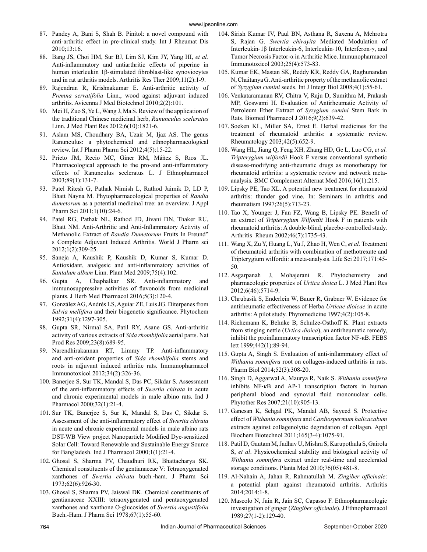- 87. Pandey A, Bani S, Shah B. Pinitol: a novel compound with anti-arthritic effect in pre-clinical study. Int J Rheumat Dis 2010;13:16.
- 88. Bang JS, Choi HM, Sur BJ, Lim SJ, Kim JY, Yang HI, *et al.* Anti-inflammatory and antiarthritic effects of piperine in human interleukin 1β-stimulated fibroblast-like synoviocytes and in rat arthritis models. Arthritis Res Ther 2009;11(2):1-9.
- 89. Rajendran R, Krishnakumar E. Anti-arthritic activity of *Premna serratifolia* Linn., wood against adjuvant induced arthritis. Avicenna J Med Biotechnol 2010;2(2):101.
- 90. Mei H, Zuo S, Ye L, Wang J, Ma S. Review of the application of the traditional Chinese medicinal herb, *Ranunculus sceleratus* Linn. J Med Plant Res 2012;6(10):1821-6.
- 91. Aslam MS, Choudhary BA, Uzair M, Ijaz AS. The genus Ranunculus: a phytochemical and ethnopharmacological review. Int J Pharm Pharm Sci 2012;4(5):15-22.
- 92. Prieto JM, Recio MC, Giner RM, Máñez S, Rıos JL. Pharmacological approach to the pro-and anti-inflammatory effects of Ranunculus sceleratus L. J Ethnopharmacol 2003;89(1):131-7.
- 93. Patel Ritesh G, Pathak Nimish L, Rathod Jaimik D, LD P, Bhatt Nayna M. Phytopharmacological properties of *Randia dumetorum* as a potential medicinal tree: an overview. J Appl Pharm Sci 2011;1(10):24-6.
- 94. Patel RG, Pathak NL, Rathod JD, Jivani DN, Thaker RU, Bhatt NM. Anti-Arthritic and Anti-Inflammatory Activity of Methanolic Extract of *Randia Dumetorum* Fruits In Freund" s Complete Adjuvant Induced Arthritis. World J Pharm sci 2012;1(2):309-25.
- 95. Saneja A, Kaushik P, Kaushik D, Kumar S, Kumar D. Antioxidant, analgesic and anti-inflammatory activities of *Santalum album* Linn. Plant Med 2009;75(4):102.
- 96. Gupta A, Chaphalkar SR. Anti-inflammatory and immunosuppressive activities of flavonoids from medicinal plants. J Herb Med Pharmacol 2016;5(3):120-4.
- 97. González AG, Andrés LS, Aguiar ZE, Luis JG. Diterpenes from *Salvia mellifera* and their biogenetic significance. Phytochem 1992;31(4):1297-305.
- 98. Gupta SR, Nirmal SA, Patil RY, Asane GS. Anti-arthritic activity of various extracts of *Sida rhombifolia* aerial parts. Nat Prod Res 2009;23(8):689-95.
- 99. Narendhirakannan RT, Limmy TP. Anti-inflammatory and anti-oxidant properties of *Sida rhombifolia* stems and roots in adjuvant induced arthritic rats. Immunopharmacol Immunotoxicol 2012;34(2):326-36.
- 100. Banerjee S, Sur TK, Mandal S, Das PC, Sikdar S. Assessment of the anti-inflammatory effects of *Swertia chirata* in acute and chronic experimental models in male albino rats. Ind J Pharmacol 2000;32(1):21-4.
- 101. Sur TK, Banerjee S, Sur K, Mandal S, Das C, Sikdar S. Assessment of the anti-inflammatory effect of *Swertia chirata* in acute and chronic experimental models in male albino rats DST-WB View project Nanoparticle Modified Dye-sensitized Solar Cell: Toward Renewable and Sustainable Energy Source for Bangladesh. Ind J Pharmacol 2000;1(1):21-4.
- 102. Ghosal S, Sharma PV, Chaudhuri RK, Bhattacharya SK. Chemical constituents of the gentianaceae V: Tetraoxygenated xanthones of *Swertia chirata* buch.‐ham. J Pharm Sci 1973;62(6):926-30.
- 103. Ghosal S, Sharma PV, Jaiswal DK. Chemical constituents of gentianaceae XXIII: tetraoxygenated and pentaoxygenated xanthones and xanthone O-glucosides of *Swertia angustifolia* Buch.-Ham. J Pharm Sci 1978;67(1):55-60.
- 104. Sirish Kumar IV, Paul BN, Asthana R, Saxena A, Mehrotra S, Rajan G. *Swertia chirayita* Mediated Modulation of Interleukin‐1β Interleukin‐6, Interleukin‐10, Interferon‐γ, and Tumor Necrosis Factor‐α in Arthritic Mice. Immunopharmacol Immunotoxicol 2003;25(4):573-83.
- 105. Kumar EK, Mastan SK, Reddy KR, Reddy GA, Raghunandan N, Chaitanya G. Anti-arthritic property of the methanolic extract of *Syzygium cumini* seeds. Int J Integr Biol 2008;4(1):55-61.
- 106. Venkataramanan RV, Chitra V, Raju D, Sumithra M, Prakash MP, Goswami H. Evaluation of Antirheumatic Activity of Petroleum Ether Extract of *Syzygium cumini* Stem Bark in Rats. Biomed Pharmacol J 2016;9(2):639-42.
- 107. Soeken KL, Miller SA, Ernst E. Herbal medicines for the treatment of rheumatoid arthritis: a systematic review. Rheumatology 2003;42(5):652-9.
- 108. Wang HL, Jiang Q, Feng XH, Zhang HD, Ge L, Luo CG, *et al. Tripterygium wilfordii* Hook F versus conventional synthetic disease-modifying anti-rheumatic drugs as monotherapy for rheumatoid arthritis: a systematic review and network metaanalysis. BMC Complement Alternat Med 2016;16(1):215.
- 109. Lipsky PE, Tao XL. A potential new treatment for rheumatoid arthritis: thunder god vine. In: Seminars in arthritis and rheumatism 1997;26(5):713-23.
- 110. Tao X, Younger J, Fan FZ, Wang B, Lipsky PE. Benefit of an extract of *Tripterygium Wilfordii* Hook F in patients with rheumatoid arthritis: A double‐blind, placebo‐controlled study. Arthritis Rheum 2002;46(7):1735-43.
- 111. Wang X, Zu Y, Huang L, Yu J, Zhao H, Wen C, *et al.* Treatment of rheumatoid arthritis with combination of methotrexate and Tripterygium wilfordii: a meta-analysis. Life Sci 2017;171:45- 50.
- 112. Asgarpanah J, Mohajerani R. Phytochemistry and pharmacologic properties of *Urtica dioica* L. J Med Plant Res 2012;6(46):5714-9.
- 113. Chrubasik S, Enderlein W, Bauer R, Grabner W. Evidence for antirheumatic effectiveness of Herba *Urticae dioicae* in acute arthritis: A pilot study. Phytomedicine 1997;4(2):105-8.
- 114. Riehemann K, Behnke B, Schulze-Osthoff K. Plant extracts from stinging nettle (*Urtica dioica*), an antirheumatic remedy, inhibit the proinflammatory transcription factor NF-κB. FEBS lett 1999;442(1):89-94.
- 115. Gupta A, Singh S. Evaluation of anti-inflammatory effect of *Withania somnifera* root on collagen-induced arthritis in rats. Pharm Biol 2014;52(3):308-20.
- 116. Singh D, Aggarwal A, Maurya R, Naik S. *Withania somnifera* inhibits NF‐κB and AP‐1 transcription factors in human peripheral blood and synovial fluid mononuclear cells. Phytother Res 2007;21(10):905-13.
- 117. Ganesan K, Sehgal PK, Mandal AB, Sayeed S. Protective effect of *Withania somnifera* and *Cardiospermum halicacabum* extracts against collagenolytic degradation of collagen. Appl Biochem Biotechnol 2011;165(3-4):1075-91.
- 118. Patil D, Gautam M, Jadhav U, Mishra S, Karupothula S, Gairola S, *et al*. Physicochemical stability and biological activity of *Withania somnifera* extract under real-time and accelerated storage conditions. Planta Med 2010;76(05):481-8.
- 119. Al-Nahain A, Jahan R, Rahmatullah M. *Zingiber officinale*: a potential plant against rheumatoid arthritis. Arthritis 2014;2014:1-8.
- 120. Mascolo N, Jain R, Jain SC, Capasso F. Ethnopharmacologic investigation of ginger (*Zingiber officinale*). J Ethnopharmacol 1989;27(1-2):129-40.